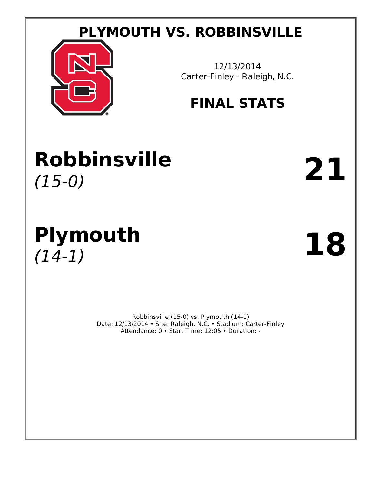# **PLYMOUTH VS. ROBBINSVILLE**



12/13/2014 Carter-Finley - Raleigh, N.C.

# **FINAL STATS**

# **Robbinsville** (15-0) **21**

# **Plymouth** (14-1) **18**

Robbinsville (15-0) vs. Plymouth (14-1) Date: 12/13/2014 • Site: Raleigh, N.C. • Stadium: Carter-Finley Attendance: 0 • Start Time: 12:05 • Duration: -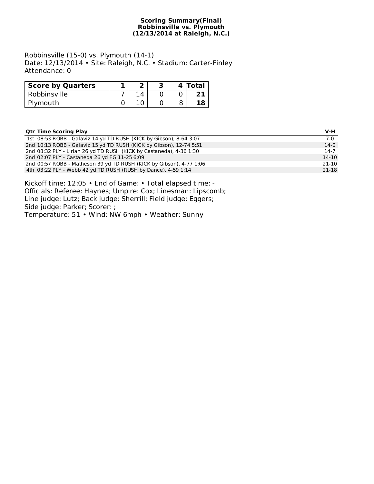#### **Scoring Summary(Final) Robbinsville vs. Plymouth (12/13/2014 at Raleigh, N.C.)**

Robbinsville (15-0) vs. Plymouth (14-1) Date: 12/13/2014 • Site: Raleigh, N.C. • Stadium: Carter-Finley Attendance: 0

| <b>Score by Quarters</b> |  |  | 4 Total |
|--------------------------|--|--|---------|
| Robbinsville             |  |  |         |
| Plymouth                 |  |  |         |

| <b>Qtr Time Scoring Play</b>                                        | $V-H$     |
|---------------------------------------------------------------------|-----------|
| 1st 08:53 ROBB - Galaviz 14 yd TD RUSH (KICK by Gibson), 8-64 3:07  | $7-0$     |
| 2nd 10:13 ROBB - Galaviz 15 yd TD RUSH (KICK by Gibson), 12-74 5:51 | $14-0$    |
| 2nd 08:32 PLY - Lirian 26 yd TD RUSH (KICK by Castaneda), 4-36 1:30 | $14-7$    |
| 2nd 02:07 PLY - Castaneda 26 yd FG 11-25 6:09                       | $14 - 10$ |
| 2nd 00:57 ROBB - Matheson 39 yd TD RUSH (KICK by Gibson), 4-77 1:06 | 21-10     |
| 4th 03:22 PLY - Webb 42 yd TD RUSH (RUSH by Dance), 4-59 1:14       | 21-18     |

Kickoff time: 12:05 • End of Game: • Total elapsed time: - Officials: Referee: Haynes; Umpire: Cox; Linesman: Lipscomb; Line judge: Lutz; Back judge: Sherrill; Field judge: Eggers; Side judge: Parker; Scorer: ; Temperature: 51 • Wind: NW 6mph • Weather: Sunny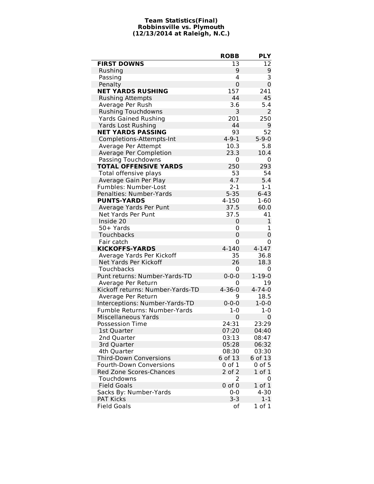#### **Team Statistics(Final) Robbinsville vs. Plymouth (12/13/2014 at Raleigh, N.C.)**

l,

|                                  | <b>ROBB</b>  | <b>PLY</b>   |
|----------------------------------|--------------|--------------|
| <b>FIRST DOWNS</b>               | 13           | 12           |
| Rushing                          | 9            | 9            |
| Passing                          | 4            | 3            |
| Penalty                          | $\Omega$     | $\mathbf 0$  |
| <b>NET YARDS RUSHING</b>         | 157          | 241          |
| <b>Rushing Attempts</b>          | 44           | 45           |
| Average Per Rush                 | 3.6          | 5.4          |
| <b>Rushing Touchdowns</b>        | 3            | 2            |
| <b>Yards Gained Rushing</b>      | 201          | 250          |
| <b>Yards Lost Rushing</b>        | 44           | 9            |
| <b>NET YARDS PASSING</b>         | 93           | 52           |
| Completions-Attempts-Int         | $4 - 9 - 1$  | $5 - 9 - 0$  |
| Average Per Attempt              | 10.3         | 5.8          |
| Average Per Completion           | 23.3         | 10.4         |
| Passing Touchdowns               | 0            | 0            |
| <b>TOTAL OFFENSIVE YARDS</b>     | 250          | 293          |
| Total offensive plays            | 53           | 54           |
| Average Gain Per Play            | 4.7          | 5.4          |
| Fumbles: Number-Lost             | $2 - 1$      | $1 - 1$      |
| Penalties: Number-Yards          | $5 - 35$     | $6 - 43$     |
| <b>PUNTS-YARDS</b>               | 4-150        | $1 - 60$     |
| Average Yards Per Punt           | 37.5         | 60.0         |
| <b>Net Yards Per Punt</b>        | 37.5         | 41           |
| Inside 20                        | 0            | 1            |
| 50+ Yards                        | 0            | 1            |
| Touchbacks                       | 0            | $\Omega$     |
| Fair catch                       | 0            | 0            |
| <b>KICKOFFS-YARDS</b>            | $4 - 140$    | $4 - 147$    |
| Average Yards Per Kickoff        | 35           | 36.8         |
| Net Yards Per Kickoff            | 26           | 18.3         |
| Touchbacks                       | 0            | 0            |
| Punt returns: Number-Yards-TD    | $0 - 0 - 0$  | $1 - 19 - 0$ |
| Average Per Return               | 0            | 19           |
| Kickoff returns: Number-Yards-TD | $4 - 36 - 0$ | $4 - 74 - 0$ |
| Average Per Return               | 9            | 18.5         |
| Interceptions: Number-Yards-TD   | $0 - 0 - 0$  | $1 - 0 - 0$  |
| Fumble Returns: Number-Yards     | $1-0$        | $1 - 0$      |
| <b>Miscellaneous Yards</b>       | 0            | 0            |
| <b>Possession Time</b>           | 24:31        | 23:29        |
| 1st Quarter                      | 07:20        | 04:40        |
| 2nd Quarter                      | 03:13        | 08:47        |
| 3rd Quarter                      | 05:28        | 06:32        |
| 4th Quarter                      | 08:30        | 03:30        |
| <b>Third-Down Conversions</b>    | 6 of 13      | 6 of 13      |
| <b>Fourth-Down Conversions</b>   | 0 of 1       | $0$ of $5$   |
| <b>Red Zone Scores-Chances</b>   | $2$ of $2$   | 1 of 1       |
| Touchdowns                       | 2            | 0            |
| <b>Field Goals</b>               | $0$ of $0$   | 1 of 1       |
| Sacks By: Number-Yards           | $0 - 0$      | $4 - 30$     |
| <b>PAT Kicks</b>                 | $3 - 3$      | $1 - 1$      |
| <b>Field Goals</b>               | of           | $1$ of $1$   |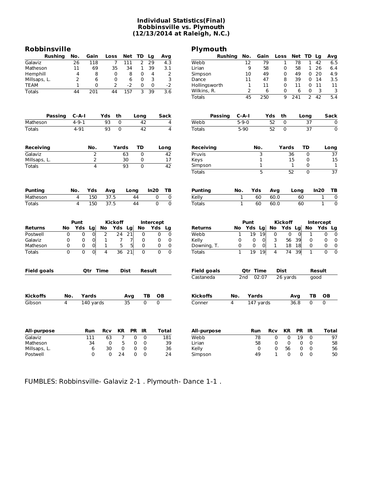#### **Individual Statistics(Final) Robbinsville vs. Plymouth (12/13/2014 at Raleigh, N.C.)**

| Robbinsville       |                     |                                  |                |                       |                |                  |                                  | Plymouth                     |                 |                            |                 |                     |                       |                     |                      |                                  |
|--------------------|---------------------|----------------------------------|----------------|-----------------------|----------------|------------------|----------------------------------|------------------------------|-----------------|----------------------------|-----------------|---------------------|-----------------------|---------------------|----------------------|----------------------------------|
| <b>Rushing</b>     | No.                 | Gain                             | Loss           | <b>Net</b>            | TD             | Lg               | Avg                              | <b>Rushing</b>               |                 | No.<br>Gain                |                 | Loss                | Net                   | TD                  | Lg                   | Avg                              |
| Galaviz            | 26                  | 118                              |                | $\overline{7}$<br>111 | 2              | 29               | 4.3                              | Webb                         |                 | 12<br>79                   |                 | 1                   | 78                    | 1                   | 42                   | 6.5                              |
| Matheson           | 11                  | 69                               |                | 35<br>34              | 1              | 39               | 3.1                              | Lirian                       |                 | 9<br>58                    |                 | 0                   | 58                    |                     | 1 26                 | 6.4                              |
| Hemphill           | $\overline{4}$      | 8                                |                | $\mathbf 0$<br>8      | $\Omega$       | 4                | 2                                | Simpson                      |                 | 10<br>49                   |                 | 0                   | 49                    | $\Omega$            | 20                   | 4.9                              |
| Millsaps, L.       | 2                   | 6                                |                | 0<br>6                | 0              | 3                | 3                                | Dance                        |                 | 11<br>47                   |                 | 8                   | 39                    | 0                   | 14                   | 3.5                              |
| <b>TEAM</b>        | $\mathbf{1}$        | 0                                |                | 2<br>$-2$             | 0              | $\mathbf 0$      | $-2$                             | Hollingsworth                |                 | $\mathbf{1}$<br>11         |                 | 0                   | 11                    | 0                   | 11                   | 11                               |
| <b>Totals</b>      | 44                  | $\overline{201}$                 | 44             | 157                   | $\overline{3}$ | 39               | $\overline{3.6}$                 | Wilkins, R.<br><b>Totals</b> |                 | 2<br>45<br>250             | 6               | 0<br>$\overline{q}$ | 6<br>$\overline{241}$ | 0<br>$\overline{2}$ | 3<br>$\overline{42}$ | 3<br>5.4                         |
|                    |                     |                                  |                |                       |                |                  |                                  |                              |                 |                            |                 |                     |                       |                     |                      |                                  |
| Passing            |                     | $C - A - I$                      | Yds            | th                    | Long           |                  | <b>Sack</b>                      | <b>Passing</b>               | $C-A-I$         |                            | Yds             | th                  |                       | Long                |                      | Sack                             |
| Matheson           |                     | $4 - 9 - 1$                      | 93             | 0                     | 42             |                  | 4                                | Webb                         | $5 - 9 - 0$     |                            | $\overline{52}$ | 0                   |                       | 37                  |                      | 0                                |
| <b>Totals</b>      |                     | $4 - 91$                         | 93             | $\overline{0}$        | 42             |                  | $\overline{4}$                   | <b>Totals</b>                | $5 - 90$        |                            | 52              | $\overline{0}$      |                       | $\overline{37}$     |                      | $\overline{0}$                   |
| Receiving          |                     | No.                              |                | Yards                 | <b>TD</b>      |                  | Long                             | <b>Receiving</b>             |                 | No.                        |                 | Yards               |                       | <b>TD</b>           |                      | Long                             |
| Galaviz            |                     | $\overline{2}$                   |                | 63                    | $\overline{0}$ |                  | 42                               | Pruvis                       |                 | З                          |                 |                     | $\overline{36}$       | $\overline{0}$      |                      | 37                               |
| Millsaps, L.       |                     | 2                                |                | 30                    | 0              |                  | 17                               | Keys                         |                 | $\mathbf 1$                |                 |                     | 15                    | 0                   |                      | 15                               |
| <b>Totals</b>      |                     | 4                                |                | $\overline{93}$       | $\overline{0}$ |                  | 42                               | Simpson                      |                 | 1                          |                 |                     | $\mathbf{1}$          | 0                   |                      | $\mathbf{1}$                     |
|                    |                     |                                  |                |                       |                |                  |                                  | <b>Totals</b>                |                 | 5                          |                 |                     | 52                    | $\overline{0}$      |                      | 37                               |
| <b>Punting</b>     | No.                 | Yds                              |                |                       |                | In20             | TB                               | <b>Punting</b>               | No.             | Yds                        |                 |                     | Long                  |                     | In20                 | TВ                               |
|                    |                     | 150                              | Avg            |                       | Long           |                  |                                  |                              |                 | 60                         | Avg<br>60.0     |                     |                       |                     |                      |                                  |
| Matheson           | 4<br>$\overline{4}$ |                                  | 37.5           |                       | 44             |                  | 0<br>$\mathbf 0$                 | Kelly                        | 1               |                            |                 |                     | 60                    |                     |                      | $\pmb{0}$<br>1<br>$\overline{0}$ |
| Totals             |                     | 150                              | 37.5           |                       | 44             |                  | $\mathbf 0$<br>$\mathbf 0$       | <b>Totals</b>                | 1               | 60                         | 60.0            |                     | 60                    |                     | $\mathbf{1}$         |                                  |
|                    | Punt                |                                  | <b>Kickoff</b> |                       |                | <b>Intercept</b> |                                  |                              |                 | Punt                       |                 | <b>Kickoff</b>      |                       |                     | <b>Intercept</b>     |                                  |
| Returns            | No                  | Yds<br>Lg                        | No             | Yds<br>Lg             | No             | Yds              | Lg                               | <b>Returns</b>               | No              | Yds Lg                     | No              |                     | Yds Lg                | No                  | Yds                  | Lg                               |
| Postwell           | $\mathbf 0$         | 0<br>0                           | $\overline{2}$ | 24<br>21              | $\mathbf 0$    |                  | 0<br>$\mathbf 0$                 | Webb                         | $\mathbf{1}$    | 19<br>19                   | 0               |                     | 0<br>$\mathbf 0$      | 1                   |                      | 0<br>$\mathbf 0$                 |
| Galaviz            | 0                   | 0<br>$\mathbf 0$                 | $\mathbf{1}$   | 7<br>7                | 0              |                  | 0<br>0                           | Kelly                        | $\mathbf 0$     | $\mathbf 0$<br>$\mathbf 0$ | 3               | 56                  | 39                    | 0                   |                      | 0<br>0                           |
| Matheson           | 0                   | 0<br>$\overline{0}$              | 1              | 5<br>5                | 0              |                  | 0<br>0                           | Downing, T.                  | 0               | $\mathbf 0$<br>0           | 1               | 18                  | 18                    | 0                   |                      | 0<br>0                           |
| <b>Totals</b>      | $\overline{0}$      | $\overline{0}$<br>$\overline{0}$ | $\overline{4}$ | 36<br>21              | $\mathbf{0}$   |                  | $\overline{0}$<br>$\overline{0}$ | <b>Totals</b>                | $\mathbf{1}$    | 19<br>19                   | 4               | 74                  | 39                    | $\mathbf{1}$        |                      | $\overline{0}$<br>$\overline{0}$ |
| <b>Field goals</b> |                     | Otr Time                         |                | <b>Dist</b>           |                | <b>Result</b>    |                                  | <b>Field goals</b>           |                 | <b>Qtr Time</b>            |                 | <b>Dist</b>         |                       |                     | <b>Result</b>        |                                  |
|                    |                     |                                  |                |                       |                |                  |                                  | Castaneda                    | 2 <sub>nd</sub> | 02:07                      |                 | 26 yards            |                       |                     | qood                 |                                  |
| <b>Kickoffs</b>    | No.                 | Yards                            |                | Avg                   |                | ТB               | OВ                               | <b>Kickoffs</b>              | No.             | Yards                      |                 |                     | Avg                   | TB                  |                      | OВ                               |
| Gibson             | 4                   | 140 yards                        |                | 35                    |                | $\overline{0}$   | $\overline{0}$                   | Conner                       | 4               | 147 yards                  |                 |                     | 36.8                  | $\mathbf 0$         |                      | 0                                |
|                    |                     |                                  |                |                       |                |                  |                                  |                              |                 |                            |                 |                     |                       |                     |                      |                                  |
| All-purpose        |                     | Run                              | <b>Rcv</b>     | KR                    | IR<br>PR       |                  | <b>Total</b>                     | All-purpose                  |                 | Run                        | Rcv             | ΚR                  | <b>PR</b>             | IR                  |                      | <b>Total</b>                     |
| Galaviz            |                     | 111                              | 63             | 7                     | 0              | 0                | 181                              | Webb                         |                 | 78                         | 0               | 0                   | 19                    | 0                   |                      | 97                               |
| Matheson           |                     | 34                               | 0              | 5                     | 0              | 0                | 39                               | Lirian                       |                 | 58                         | 0               | 0                   | 0                     | 0                   |                      | 58                               |
| Millsaps, L.       |                     | 6                                | 30             | 0                     | 0              | 0                | 36                               | Kelly                        |                 | 0                          | 0               | 56                  | 0                     | 0                   |                      | 56                               |
| Postwell           |                     | 0                                | 0              | 24                    | 0              | $\mathbf 0$      | 24                               | Simpson                      |                 | 49                         | 1               | 0                   | $\mathbf 0$           | 0                   |                      | 50                               |

FUMBLES: Robbinsville- Galaviz 2-1 . Plymouth- Dance 1-1 .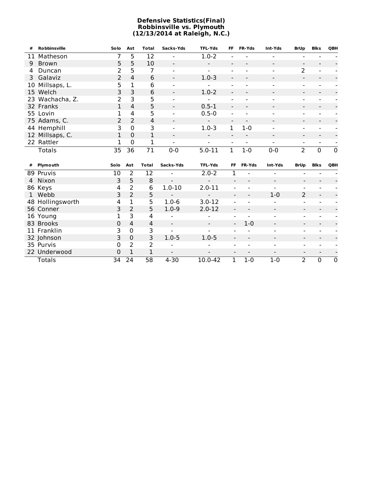#### **Defensive Statistics(Final) Robbinsville vs. Plymouth (12/13/2014 at Raleigh, N.C.)**

| #  | <b>Robbinsville</b> | Solo        | Ast            | <b>Total</b>    | Sacks-Yds                    | <b>TFL-Yds</b>           | FF                       | FR-Yds                   | Int-Yds                  | <b>BrUp</b>              | <b>Blks</b>              | <b>QBH</b>     |
|----|---------------------|-------------|----------------|-----------------|------------------------------|--------------------------|--------------------------|--------------------------|--------------------------|--------------------------|--------------------------|----------------|
| 11 | Matheson            | 7           | 5              | 12              | $\overline{\phantom{0}}$     | $1.0 - 2$                |                          |                          |                          |                          |                          |                |
| 9  | <b>Brown</b>        | 5           | 5              | 10              | $\overline{a}$               |                          |                          |                          |                          |                          |                          |                |
| 4  | Duncan              | 2           | 5              | 7               | $\blacksquare$               |                          |                          |                          |                          | $\overline{2}$           |                          |                |
| 3  | Galaviz             | 2           | $\overline{4}$ | 6               | $\overline{\phantom{0}}$     | $1.0 - 3$                |                          |                          |                          |                          |                          |                |
| 10 | Millsaps, L.        | 5           | $\mathbf 1$    | 6               | $\overline{\phantom{a}}$     |                          |                          |                          |                          |                          |                          |                |
|    | 15 Welch            | 3           | 3              | 6               | $\overline{\phantom{a}}$     | $1.0 - 2$                | $\overline{\phantom{0}}$ |                          |                          | $\overline{\phantom{a}}$ |                          |                |
|    | 23 Wachacha, Z.     | 2           | $\overline{3}$ | 5               |                              |                          |                          |                          |                          |                          |                          |                |
|    | 32 Franks           | 1           | 4              | 5               | $\frac{1}{2}$                | $0.5 - 1$                |                          |                          | $\blacksquare$           | $\blacksquare$           |                          |                |
|    | 55 Lovin            | 1           | 4              | 5               |                              | $0.5 - 0$                |                          |                          |                          |                          |                          |                |
|    | 75 Adams, C.        | 2           | $\overline{2}$ | 4               | $\overline{\phantom{a}}$     |                          | $\qquad \qquad -$        |                          |                          | -                        |                          |                |
|    | 44 Hemphill         | 3           | $\mathbf 0$    | 3               |                              | $1.0 - 3$                | 1                        | $1 - 0$                  |                          |                          |                          |                |
|    | 12 Millsaps, C.     | 1           | $\mathbf 0$    | 1               | $\overline{\phantom{0}}$     | $\overline{\phantom{a}}$ |                          |                          |                          |                          |                          |                |
|    | 22 Rattler          | 1           | $\mathbf{0}$   | 1               | $\blacksquare$               | -                        | $\overline{\phantom{a}}$ | $\overline{\phantom{a}}$ | $\overline{\phantom{0}}$ | $\overline{\phantom{0}}$ | $\overline{\phantom{a}}$ |                |
|    | <b>Totals</b>       | 35          | 36             | $\overline{71}$ | $0 - 0$                      | $5.0 - 11$               | $\overline{1}$           | $1 - 0$                  | $0 - 0$                  | $\overline{2}$           | $\overline{0}$           | $\overline{0}$ |
|    |                     |             |                |                 |                              |                          |                          |                          |                          |                          |                          |                |
|    |                     |             |                |                 |                              |                          |                          |                          |                          |                          |                          |                |
| #  | Plymouth            | Solo        | Ast            | <b>Total</b>    | Sacks-Yds                    | <b>TFL-Yds</b>           | <b>FF</b>                | <b>FR-Yds</b>            | Int-Yds                  | <b>BrUp</b>              | <b>Blks</b>              | QBH            |
|    | 89 Pruvis           | 10          | $\overline{2}$ | 12              | $\overline{a}$               | $2.0 - 2$                | $\mathbf{1}$             |                          | -                        |                          |                          |                |
|    | 4 Nixon             | 3           | 5              | 8               | $\overline{a}$               |                          |                          |                          |                          |                          |                          |                |
|    | 86 Keys             | 4           | $\overline{2}$ | $6\phantom{1}6$ | $1.0 - 10$                   | $2.0 - 11$               |                          |                          |                          |                          |                          |                |
|    | 1 Webb              | 3           | $\overline{2}$ | 5               | $\overline{a}$               |                          |                          |                          | $1-0$                    | $\overline{2}$           | $\overline{\phantom{a}}$ |                |
|    | 48 Hollingsworth    | 4           | 1              | 5               | $1.0 - 6$                    | $3.0 - 12$               |                          |                          |                          |                          |                          |                |
|    | 56 Conner           | 3           | $\overline{2}$ | 5               | $1.0 - 9$                    | $2.0 - 12$               |                          |                          | $\blacksquare$           | $\blacksquare$           |                          |                |
|    | 16 Young            | 1           | 3              | 4               |                              |                          |                          |                          |                          |                          |                          |                |
|    | 83 Brooks           | 0           | $\overline{4}$ | $\overline{4}$  | $\qquad \qquad \blacksquare$ |                          |                          | $1 - 0$                  | $\overline{\phantom{a}}$ |                          |                          |                |
|    | 11 Franklin         | 3           | $\mathbf 0$    | 3               |                              |                          |                          |                          |                          |                          |                          |                |
|    | 32 Johnson          | 3           | $\mathbf 0$    | 3               | $1.0 - 5$                    | $1.0 - 5$                |                          |                          |                          |                          |                          |                |
|    | 35 Purvis           | 0           | 2              | 2               |                              |                          |                          |                          | $\overline{\phantom{a}}$ | $\overline{\phantom{a}}$ |                          |                |
|    | 22 Underwood        | $\mathbf 0$ | $\overline{1}$ | $\mathbf 1$     |                              |                          |                          |                          | $\blacksquare$           | $\blacksquare$           | $\blacksquare$           |                |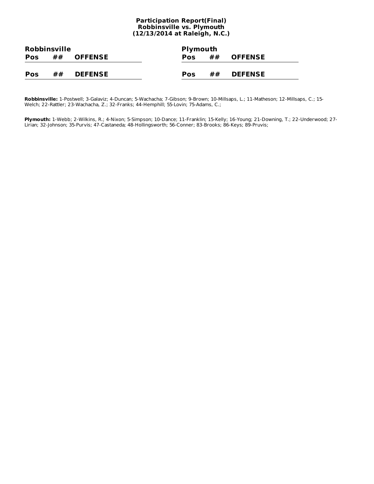#### **Participation Report(Final) Robbinsville vs. Plymouth (12/13/2014 at Raleigh, N.C.)**

| <b>Robbinsville</b> |    |                | <b>Plymouth</b> |    |                |  |
|---------------------|----|----------------|-----------------|----|----------------|--|
| <b>Pos</b>          | ## | <b>OFFENSE</b> | <b>Pos</b>      | ## | <b>OFFENSE</b> |  |
|                     |    |                |                 |    |                |  |
| <b>Pos</b>          | ## | <b>DEFENSE</b> | Pos             | ## | <b>DEFENSE</b> |  |

**Robbinsville:** 1-Postwell; 3-Galaviz; 4-Duncan; 5-Wachacha; 7-Gibson; 9-Brown; 10-Millsaps, L.; 11-Matheson; 12-Millsaps, C.; 15- Welch; 22-Rattler; 23-Wachacha, Z.; 32-Franks; 44-Hemphill; 55-Lovin; 75-Adams, C.;

**Plymouth:** 1-Webb; 2-Wilkins, R.; 4-Nixon; 5-Simpson; 10-Dance; 11-Franklin; 15-Kelly; 16-Young; 21-Downing, T.; 22-Underwood; 27- Lirian; 32-Johnson; 35-Purvis; 47-Castaneda; 48-Hollingsworth; 56-Conner; 83-Brooks; 86-Keys; 89-Pruvis;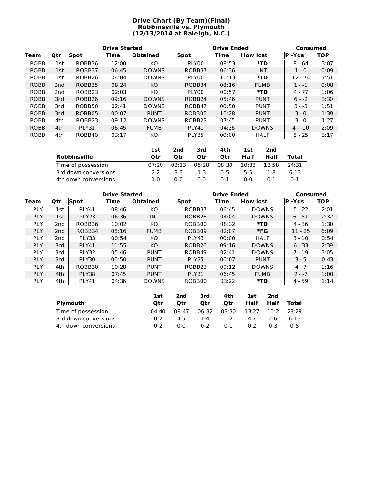#### **Drive Chart (By Team)(Final) Robbinsville vs. Plymouth (12/13/2014 at Raleigh, N.C.)**

|             |     |                    | <b>Drive Started</b> |                 |                    | <b>Drive Ended</b> | Consumed        |               |            |
|-------------|-----|--------------------|----------------------|-----------------|--------------------|--------------------|-----------------|---------------|------------|
| Team        | Qtr | Spot               | Time                 | <b>Obtained</b> | <b>Spot</b>        | Time               | <b>How lost</b> | <b>PI-Yds</b> | <b>TOP</b> |
| <b>ROBB</b> | 1st | ROBB36             | 12:00                | KO              | PLY00              | 08:53              | *TD             | $8 - 64$      | 3:07       |
| <b>ROBB</b> | 1st | ROBB37             | 06:45                | <b>DOWNS</b>    | ROBB37             | 06:36              | <b>INT</b>      | $1 - 0$       | 0:09       |
| <b>ROBB</b> | 1st | ROBB <sub>26</sub> | 04:04                | <b>DOWNS</b>    | PLY00              | 10:13              | *TD             | $12 - 74$     | 5:51       |
| <b>ROBB</b> | 2nd | ROBB35             | 08:24                | KO.             | ROBB34             | 08:16              | <b>FUMB</b>     | $1 - -1$      | 0:08       |
| <b>ROBB</b> | 2nd | ROBB <sub>23</sub> | 02:03                | KO              | PLY00              | 00:57              | *TD             | $4 - 77$      | 1:06       |
| <b>ROBB</b> | 3rd | ROBB <sub>26</sub> | 09:16                | <b>DOWNS</b>    | ROBB <sub>24</sub> | 05:46              | <b>PUNT</b>     | $6 - -2$      | 3:30       |
| <b>ROBB</b> | 3rd | ROBB50             | 02:41                | <b>DOWNS</b>    | ROBB47             | 00:50              | <b>PUNT</b>     | $3 - -3$      | 1:51       |
| <b>ROBB</b> | 3rd | ROBB05             | 00:07                | <b>PUNT</b>     | ROBB05             | 10:28              | <b>PUNT</b>     | $3 - 0$       | 1:39       |
| <b>ROBB</b> | 4th | ROBB <sub>23</sub> | 09:12                | <b>DOWNS</b>    | ROBB <sub>23</sub> | 07:45              | <b>PUNT</b>     | $3 - 0$       | 1:27       |
| <b>ROBB</b> | 4th | PLY31              | 06:45                | <b>FUMB</b>     | <b>PLY41</b>       | 04:36              | <b>DOWNS</b>    | $4 - 10$      | 2:09       |
| <b>ROBB</b> | 4th | ROBB40             | 03:17                | КO              | PLY35              | 00:00              | <b>HALF</b>     | $8 - 25$      | 3:17       |

|                      | 1st   | 2nd   | 3rd   | 4th        | 1st  | 2nd         |         |
|----------------------|-------|-------|-------|------------|------|-------------|---------|
| <b>Robbinsville</b>  | Otr   | Otr   | Otr   | <b>Otr</b> | Half | Half        | Total   |
| Time of possession   | 07:20 | 03:13 | 05:28 | 08:30      |      | 10:33 13:58 | 24:31   |
| 3rd down conversions | $2-2$ | 3-3.  | -1-3  | በ-5        | 5-5. | 1-8         | $6-13$  |
| 4th down conversions | ი-ი   | ი-ი   | 0-0   | $0 - 1$    | 0-0  | $0 - 1$     | $0 - 1$ |

|            |                 |                   | <b>Drive Started</b> |                 |                    | <b>Drive Ended</b> | Consumed        |               |            |
|------------|-----------------|-------------------|----------------------|-----------------|--------------------|--------------------|-----------------|---------------|------------|
| Team       | <b>Qtr</b>      | Spot              | Time                 | <b>Obtained</b> | Spot               | Time               | <b>How lost</b> | <b>PI-Yds</b> | <b>TOP</b> |
| <b>PLY</b> | 1st             | <b>PLY41</b>      | 08:46                | KO.             | ROBB37             | 06:45              | <b>DOWNS</b>    | $5 - 22$      | 2:01       |
| <b>PLY</b> | 1st             | PLY <sub>23</sub> | 06:36                | <b>INT</b>      | ROBB <sub>26</sub> | 04:04              | <b>DOWNS</b>    | $6 - 51$      | 2:32       |
| <b>PLY</b> | 2 <sub>nd</sub> | ROBB36            | 10:02                | KO.             | ROBB00             | 08:32              | *TD             | $4 - 36$      | 1:30       |
| <b>PLY</b> | 2 <sub>nd</sub> | ROBB34            | 08:16                | <b>FUMB</b>     | ROBB09             | 02:07              | $*FG$           | $11 - 25$     | 6:09       |
| <b>PLY</b> | 2nd             | PLY33             | 00:54                | KO.             | PLY43              | 00:00              | <b>HALF</b>     | $3 - 10$      | 0:54       |
| <b>PLY</b> | 3rd             | PLY41             | 11:55                | KO.             | ROBB <sub>26</sub> | 09:16              | <b>DOWNS</b>    | $6 - 33$      | 2:39       |
| <b>PLY</b> | 3rd             | PLY32             | 05:46                | <b>PUNT</b>     | ROBB49             | 02:41              | <b>DOWNS</b>    | $7 - 19$      | 3:05       |
| <b>PLY</b> | 3rd             | PLY30             | 00:50                | <b>PUNT</b>     | PLY35              | 00:07              | <b>PUNT</b>     | $3 - 5$       | 0:43       |
| <b>PLY</b> | 4th             | ROBB30            | 10:28                | <b>PUNT</b>     | ROBB <sub>23</sub> | 09:12              | <b>DOWNS</b>    | $4 - 7$       | 1:16       |
| <b>PLY</b> | 4th             | PLY38             | 07:45                | <b>PUNT</b>     | PLY31              | 06:45              | <b>FUMB</b>     | $2 - -7$      | 1:00       |
| <b>PLY</b> | 4th             | PLY41             | 04:36                | <b>DOWNS</b>    | ROBB00             | 03:22              | $*$ TD          | $4 - 59$      | 1:14       |

|                      | 1st     | 2nd   | 3rd     | 4th     | 1st     | 2nd  |         |
|----------------------|---------|-------|---------|---------|---------|------|---------|
| Plymouth             | Otr     | Otr   | Otr     | Otr     | Half    | Half | Total   |
| Time of possession   | 04:40   | 08:47 | 06:32   | 03:30   | 13:27   | 10:2 | 23:29   |
| 3rd down conversions | በ-2     | 4-5   | 1-4     | 1-2     | 4-7     | 2-6  | 6-13    |
| 4th down conversions | $0 - 2$ | 0-0   | $0 - 2$ | $0 - 1$ | $0 - 2$ | በ-3  | $0 - 5$ |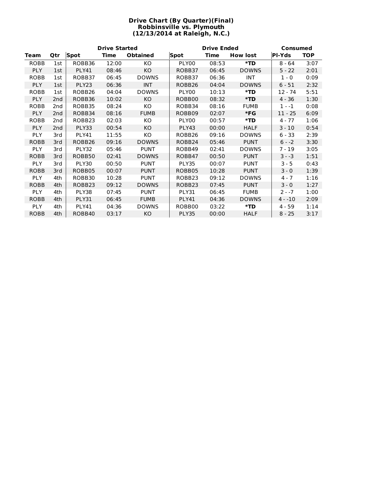#### **Drive Chart (By Quarter)(Final) Robbinsville vs. Plymouth (12/13/2014 at Raleigh, N.C.)**

|             |     |                    | <b>Drive Started</b> |                 |                    | <b>Drive Ended</b> | Consumed        |               |            |
|-------------|-----|--------------------|----------------------|-----------------|--------------------|--------------------|-----------------|---------------|------------|
| Team        | Qtr | <b>Spot</b>        | Time                 | <b>Obtained</b> | <b>Spot</b>        | <b>Time</b>        | <b>How lost</b> | <b>PI-Yds</b> | <b>TOP</b> |
| <b>ROBB</b> | 1st | ROBB36             | 12:00                | KO.             | PLY00              | 08:53              | *TD             | $8 - 64$      | 3:07       |
| PLY         | 1st | <b>PLY41</b>       | 08:46                | KO              | ROBB37             | 06:45              | <b>DOWNS</b>    | $5 - 22$      | 2:01       |
| ROBB        | 1st | ROBB37             | 06:45                | <b>DOWNS</b>    | ROBB37             | 06:36              | INT             | $1 - 0$       | 0:09       |
| <b>PLY</b>  | 1st | PLY <sub>23</sub>  | 06:36                | <b>INT</b>      | ROBB <sub>26</sub> | 04:04              | <b>DOWNS</b>    | $6 - 51$      | 2:32       |
| <b>ROBB</b> | 1st | ROBB <sub>26</sub> | 04:04                | <b>DOWNS</b>    | PLY00              | 10:13              | *TD             | 12 - 74       | 5:51       |
| PLY         | 2nd | ROBB36             | 10:02                | KO              | ROBB00             | 08:32              | *TD             | $4 - 36$      | 1:30       |
| ROBB        | 2nd | ROBB35             | 08:24                | KO.             | ROBB34             | 08:16              | <b>FUMB</b>     | $1 - -1$      | 0:08       |
| <b>PLY</b>  | 2nd | ROBB34             | 08:16                | <b>FUMB</b>     | ROBB09             | 02:07              | *FG             | $11 - 25$     | 6:09       |
| <b>ROBB</b> | 2nd | ROBB23             | 02:03                | KO.             | PLY00              | 00:57              | *TD             | $4 - 77$      | 1:06       |
| <b>PLY</b>  | 2nd | PLY33              | 00:54                | KO.             | PLY43              | 00:00              | <b>HALF</b>     | $3 - 10$      | 0:54       |
| <b>PLY</b>  | 3rd | <b>PLY41</b>       | 11:55                | KO              | ROBB26             | 09:16              | <b>DOWNS</b>    | $6 - 33$      | 2:39       |
| <b>ROBB</b> | 3rd | ROBB26             | 09:16                | <b>DOWNS</b>    | ROBB24             | 05:46              | <b>PUNT</b>     | $6 - -2$      | 3:30       |
| <b>PLY</b>  | 3rd | PLY32              | 05:46                | <b>PUNT</b>     | ROBB49             | 02:41              | <b>DOWNS</b>    | $7 - 19$      | 3:05       |
| <b>ROBB</b> | 3rd | ROBB50             | 02:41                | <b>DOWNS</b>    | ROBB47             | 00:50              | <b>PUNT</b>     | $3 - -3$      | 1:51       |
| <b>PLY</b>  | 3rd | PLY30              | 00:50                | <b>PUNT</b>     | PLY35              | 00:07              | <b>PUNT</b>     | $3 - 5$       | 0:43       |
| <b>ROBB</b> | 3rd | ROBB05             | 00:07                | <b>PUNT</b>     | ROBB05             | 10:28              | <b>PUNT</b>     | $3 - 0$       | 1:39       |
| <b>PLY</b>  | 4th | ROBB30             | 10:28                | <b>PUNT</b>     | ROBB <sub>23</sub> | 09:12              | <b>DOWNS</b>    | $4 - 7$       | 1:16       |
| <b>ROBB</b> | 4th | ROBB <sub>23</sub> | 09:12                | <b>DOWNS</b>    | ROBB <sub>23</sub> | 07:45              | <b>PUNT</b>     | $3 - 0$       | 1:27       |
| <b>PLY</b>  | 4th | PLY38              | 07:45                | <b>PUNT</b>     | PLY31              | 06:45              | <b>FUMB</b>     | $2 - -7$      | 1:00       |
| <b>ROBB</b> | 4th | PLY31              | 06:45                | <b>FUMB</b>     | PLY41              | 04:36              | <b>DOWNS</b>    | $4 - 10$      | 2:09       |
| <b>PLY</b>  | 4th | <b>PLY41</b>       | 04:36                | <b>DOWNS</b>    | ROBB00             | 03:22              | *TD             | $4 - 59$      | 1:14       |
| <b>ROBB</b> | 4th | ROBB40             | 03:17                | KO              | PLY35              | 00:00              | <b>HALF</b>     | $8 - 25$      | 3:17       |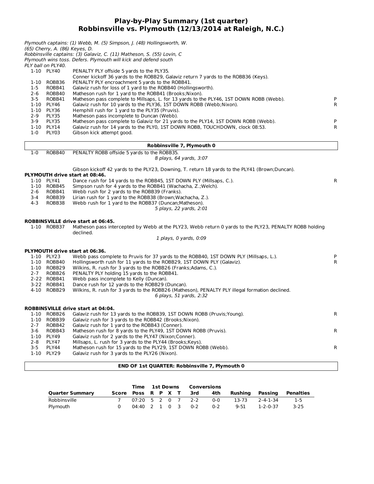#### **Play-by-Play Summary (1st quarter) Robbinsville vs. Plymouth (12/13/2014 at Raleigh, N.C.)**

| $1-5$<br>$2 - 6$<br>$3 - 5$<br>$2 - 9$<br>$3-9$<br>$1-0$ | (65) Cherry, A. (86) Keyes, D.<br>PLY ball on PLY40.<br>1-10 PLY40<br>1-10 ROBB36<br>ROBB41<br>ROBB40<br>ROBB41<br>1-10 PLY46<br>1-10 PLY36<br>PLY35<br>PLY35<br>1-10 PLY14<br>PLY03 | Plymouth captains: (1) Webb, M. (5) Simpson, J. (48) Hollingsworth, W.<br>Robbinsville captains: (3) Galaviz, C. (11) Matheson, S. (55) Lovin, C<br>Plymouth wins toss. Defers. Plymouth will kick and defend south<br>PENALTY PLY offside 5 yards to the PLY35.<br>Conner kickoff 36 yards to the ROBB29, Galaviz return 7 yards to the ROBB36 (Keys).<br>PENALTY PLY encroachment 5 yards to the ROBB41.<br>Galaviz rush for loss of 1 yard to the ROBB40 (Hollingsworth).<br>Matheson rush for 1 yard to the ROBB41 (Brooks; Nixon).<br>Matheson pass complete to Millsaps, L. for 13 yards to the PLY46, 1ST DOWN ROBB (Webb).<br>Galaviz rush for 10 yards to the PLY36, 1ST DOWN ROBB (Webb;Nixon).<br>Hemphill rush for 1 yard to the PLY35 (Pruvis).<br>Matheson pass incomplete to Duncan (Webb).<br>Matheson pass complete to Galaviz for 21 yards to the PLY14, 1ST DOWN ROBB (Webb).<br>Galaviz rush for 14 yards to the PLY0, 1ST DOWN ROBB, TOUCHDOWN, clock 08:53.<br>Gibson kick attempt good. | P<br>R<br>P<br>R |
|----------------------------------------------------------|--------------------------------------------------------------------------------------------------------------------------------------------------------------------------------------|----------------------------------------------------------------------------------------------------------------------------------------------------------------------------------------------------------------------------------------------------------------------------------------------------------------------------------------------------------------------------------------------------------------------------------------------------------------------------------------------------------------------------------------------------------------------------------------------------------------------------------------------------------------------------------------------------------------------------------------------------------------------------------------------------------------------------------------------------------------------------------------------------------------------------------------------------------------------------------------------------------------|------------------|
|                                                          |                                                                                                                                                                                      | Robbinsville 7, Plymouth 0                                                                                                                                                                                                                                                                                                                                                                                                                                                                                                                                                                                                                                                                                                                                                                                                                                                                                                                                                                                     |                  |
| $1 - 0$                                                  | ROBB40                                                                                                                                                                               | PENALTY ROBB offside 5 yards to the ROBB35.<br>8 plays, 64 yards, 3:07                                                                                                                                                                                                                                                                                                                                                                                                                                                                                                                                                                                                                                                                                                                                                                                                                                                                                                                                         |                  |
|                                                          |                                                                                                                                                                                      | Gibson kickoff 42 yards to the PLY23, Downing, T. return 18 yards to the PLY41 (Brown;Duncan).                                                                                                                                                                                                                                                                                                                                                                                                                                                                                                                                                                                                                                                                                                                                                                                                                                                                                                                 |                  |
| $2 - 6$<br>3-4<br>$4 - 3$                                | 1-10 PLY41<br>1-10 ROBB45<br>ROBB41<br>ROBB39<br>ROBB38                                                                                                                              | PLYMOUTH drive start at 08:46.<br>Dance rush for 14 yards to the ROBB45, 1ST DOWN PLY (Millsaps, C.).<br>Simpson rush for 4 yards to the ROBB41 (Wachacha, Z.; Welch).<br>Webb rush for 2 yards to the ROBB39 (Franks).<br>Lirian rush for 1 yard to the ROBB38 (Brown; Wachacha, Z.).<br>Webb rush for 1 yard to the ROBB37 (Duncan; Matheson).<br>5 plays, 22 yards, 2:01                                                                                                                                                                                                                                                                                                                                                                                                                                                                                                                                                                                                                                    | R                |
|                                                          |                                                                                                                                                                                      | <b>ROBBINSVILLE drive start at 06:45.</b>                                                                                                                                                                                                                                                                                                                                                                                                                                                                                                                                                                                                                                                                                                                                                                                                                                                                                                                                                                      |                  |
|                                                          | 1-10 ROBB37                                                                                                                                                                          | Matheson pass intercepted by Webb at the PLY23, Webb return 0 yards to the PLY23, PENALTY ROBB holding<br>declined.                                                                                                                                                                                                                                                                                                                                                                                                                                                                                                                                                                                                                                                                                                                                                                                                                                                                                            |                  |
|                                                          |                                                                                                                                                                                      | 1 plays, 0 yards, 0:09                                                                                                                                                                                                                                                                                                                                                                                                                                                                                                                                                                                                                                                                                                                                                                                                                                                                                                                                                                                         |                  |
|                                                          |                                                                                                                                                                                      | <b>PLYMOUTH drive start at 06:36.</b>                                                                                                                                                                                                                                                                                                                                                                                                                                                                                                                                                                                                                                                                                                                                                                                                                                                                                                                                                                          |                  |
| $2 - 7$                                                  | 1-10 PLY23<br>1-10 ROBB40<br>1-10 ROBB29<br>ROBB26<br>2-22 ROBB41<br>3-22 ROBB41<br>4-10 ROBB29                                                                                      | Webb pass complete to Pruvis for 37 yards to the ROBB40, 1ST DOWN PLY (Millsaps, L.).<br>Hollingsworth rush for 11 yards to the ROBB29, 1ST DOWN PLY (Galaviz).<br>Wilkins, R. rush for 3 yards to the ROBB26 (Franks; Adams, C.).<br>PENALTY PLY holding 15 yards to the ROBB41.<br>Webb pass incomplete to Kelly (Duncan).<br>Dance rush for 12 yards to the ROBB29 (Duncan).<br>Wilkins, R. rush for 3 yards to the ROBB26 (Matheson), PENALTY PLY illegal formation declined.<br>6 plays, 51 yards, 2:32                                                                                                                                                                                                                                                                                                                                                                                                                                                                                                   | P<br>R           |
|                                                          |                                                                                                                                                                                      | <b>ROBBINSVILLE drive start at 04:04.</b>                                                                                                                                                                                                                                                                                                                                                                                                                                                                                                                                                                                                                                                                                                                                                                                                                                                                                                                                                                      |                  |
| $1 - 10$                                                 | 1-10 ROBB26<br>ROBB39                                                                                                                                                                | Galaviz rush for 13 yards to the ROBB39, 1ST DOWN ROBB (Pruvis; Young).<br>Galaviz rush for 3 yards to the ROBB42 (Brooks; Nixon).                                                                                                                                                                                                                                                                                                                                                                                                                                                                                                                                                                                                                                                                                                                                                                                                                                                                             | R                |
| $2 - 7$<br>3-6<br>$1 - 10$                               | ROBB42<br>ROBB43<br>PLY49                                                                                                                                                            | Galaviz rush for 1 yard to the ROBB43 (Conner).<br>Matheson rush for 8 yards to the PLY49, 1ST DOWN ROBB (Pruvis).<br>Galaviz rush for 2 yards to the PLY47 (Nixon; Conner).                                                                                                                                                                                                                                                                                                                                                                                                                                                                                                                                                                                                                                                                                                                                                                                                                                   | R                |
| $2 - 8$<br>$3 - 5$                                       | PLY47<br>PLY44<br>1-10 PLY29                                                                                                                                                         | Millsaps, L. rush for 3 yards to the PLY44 (Brooks; Keys).<br>Matheson rush for 15 yards to the PLY29, 1ST DOWN ROBB (Webb).<br>Galaviz rush for 3 yards to the PLY26 (Nixon).                                                                                                                                                                                                                                                                                                                                                                                                                                                                                                                                                                                                                                                                                                                                                                                                                                 | R                |

#### **END OF 1st QUARTER: Robbinsville 7, Plymouth 0**

|                        |  | <b>Time 1st Downs Conversions</b> |  |  |                        |         |                 |                |           |
|------------------------|--|-----------------------------------|--|--|------------------------|---------|-----------------|----------------|-----------|
| <b>Quarter Summary</b> |  |                                   |  |  | Score Poss R P X T 3rd | 4th     | Rushina Passina |                | Penalties |
| Robbinsville           |  |                                   |  |  | 07:20 5 2 0 7 2-2      | ი-ი     |                 | 13-73 2-4-1-34 | -1-5      |
| Plvmouth               |  |                                   |  |  | 04:40 2 1 0 3 0-2      | $0 - 2$ | 9-51            | 1-2-0-37       | 3-25      |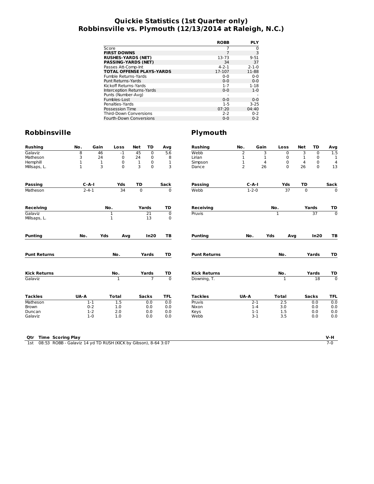## **Quickie Statistics (1st Quarter only) Robbinsville vs. Plymouth (12/13/2014 at Raleigh, N.C.)**

|                                  | <b>ROBB</b> | <b>PLY</b>  |
|----------------------------------|-------------|-------------|
| Score                            |             | 0           |
| <b>FIRST DOWNS</b>               | 7           | 3           |
| <b>RUSHES-YARDS (NET)</b>        | 13-73       | $9 - 51$    |
| <b>PASSING-YARDS (NET)</b>       | 34          | 37          |
| Passes Att-Comp-Int              | $4 - 2 - 1$ | $2 - 1 - 0$ |
| <b>TOTAL OFFENSE PLAYS-YARDS</b> | 17-107      | 11-88       |
| Fumble Returns-Yards             | $0 - 0$     | $0 - 0$     |
| Punt Returns-Yards               | $0 - 0$     | $0 - 0$     |
| Kickoff Returns-Yards            | $1 - 7$     | $1 - 18$    |
| Interception Returns-Yards       | $0 - 0$     | $1 - 0$     |
| Punts (Number-Avg)               |             |             |
| Fumbles-Lost                     | $0 - 0$     | $0 - 0$     |
| Penalties-Yards                  | $1 - 5$     | $3 - 25$    |
| Possession Time                  | 07:20       | 04:40       |
| <b>Third-Down Conversions</b>    | $2 - 2$     | $0 - 2$     |
| Fourth-Down Conversions          | $0 - 0$     | $0 - 2$     |

| <b>Rushing</b>      | No.         | Gain         | Loss                       | <b>Net</b>  | TD              | Avg              | <b>Rushing</b>      | No.            | Gain        | Loss                | <b>Net</b>   | TD           | Avg                       |
|---------------------|-------------|--------------|----------------------------|-------------|-----------------|------------------|---------------------|----------------|-------------|---------------------|--------------|--------------|---------------------------|
| Galaviz             | 8           | 46           | $-1$                       | 45          | $\mathbf 0$     | 5.6              | Webb                | $\overline{2}$ | 3           | 0                   | 3            | $\mathbf 0$  | 1.5                       |
| Matheson            | 3           | 24           | 0                          | 24          | $\pmb{0}$       | 8                | Lirian              | $\mathbf{1}$   | 1           | $\mathbf 0$         | $\mathbf{1}$ | $\mathbf 0$  | 1                         |
| Hemphill            | 1           | $\mathbf{1}$ | 0                          | 1           | 0               | $\mathbf{1}$     | Simpson             | 1              | 4           | $\mathbf 0$         | 4            | 0            | 4                         |
| Millsaps, L.        | 1           | 3            | 0                          | 3           | $\pmb{0}$       | 3                | Dance               | $\overline{2}$ | 26          | 0                   | 26           | $\mathbf 0$  | 13                        |
| <b>Passing</b>      | $C-A-I$     |              | Yds                        | <b>TD</b>   |                 | Sack             | Passing             |                | $C - A - I$ | Yds                 | <b>TD</b>    |              | Sack                      |
| Matheson            | $2 - 4 - 1$ |              | $\overline{34}$            | $\mathbf 0$ |                 | $\overline{0}$   | Webb                |                | $1 - 2 - 0$ | 37                  | $\mathbf 0$  |              | $\Omega$                  |
| <b>Receiving</b>    |             |              | No.                        |             | Yards           | TD               | <b>Receiving</b>    |                |             |                     |              | Yards        | TD                        |
| Galaviz             |             |              |                            |             | $\overline{21}$ |                  | Pruvis              |                |             | No.<br>$\mathbf{1}$ |              | 37           | $\overline{\mathfrak{o}}$ |
| Millsaps, L.        |             |              | $\mathbf 1$<br>$\mathbf 1$ |             | 13              | $\mathbf 0$<br>0 |                     |                |             |                     |              |              |                           |
| <b>Punting</b>      | No.         | Yds          | Avg                        |             | In20            | TB               | <b>Punting</b>      | No.            | Yds         | Avg                 |              | In20         | ТB                        |
| <b>Punt Returns</b> |             |              | No.                        |             | Yards           | TD               | <b>Punt Returns</b> |                |             | No.                 |              | Yards        | TD                        |
| <b>Kick Returns</b> |             |              | No.                        |             | Yards           | TD               | <b>Kick Returns</b> |                |             | No.                 |              | Yards        | TD                        |
| Galaviz             |             |              | 1                          |             | $\overline{7}$  | $\overline{0}$   | Downing, T.         |                |             | 1                   |              | 18           | $\overline{0}$            |
| <b>Tackles</b>      | UA-A        |              | <b>Total</b>               |             | <b>Sacks</b>    | <b>TFL</b>       | <b>Tackles</b>      | UA-A           |             | <b>Total</b>        |              | <b>Sacks</b> | <b>TFL</b>                |
| Matheson            |             | $1-1$        | 1.5                        |             | 0.0             | 0.0              | Pruvis              |                | $2-1$       | 2.5                 |              | 0.0          | 0.0                       |
| <b>Brown</b>        |             | $0 - 2$      | 1.0                        |             | 0.0             | 0.0              | Nixon               |                | $1 - 4$     | 3.0                 |              | 0.0          | 0.0                       |
| Duncan              |             | $1 - 2$      | 2.0                        |             | 0.0             | 0.0              | Keys                |                | $1 - 1$     | 1.5                 |              | 0.0          | 0.0                       |
| Galaviz             |             | $1-0$        | 1.0                        |             | 0.0             | 0.0              | Webb                |                | $3 - 1$     | 3.5                 |              | 0.0          | 0.0                       |
|                     |             |              |                            |             |                 |                  |                     |                |             |                     |              |              |                           |

| <b>Qtr</b> Time Scoring Play                                       |  |
|--------------------------------------------------------------------|--|
| 1st 08:53 ROBB - Galaviz 14 yd TD RUSH (KICK by Gibson), 8-64 3:07 |  |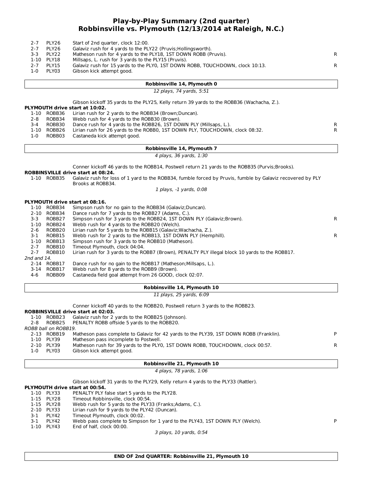## **Play-by-Play Summary (2nd quarter) Robbinsville vs. Plymouth (12/13/2014 at Raleigh, N.C.)**

| $2 - 7$<br>$2 - 7$ | PLY26<br>PLY26                 | Start of 2nd quarter, clock 12:00.<br>Galaviz rush for 4 yards to the PLY22 (Pruvis; Hollingsworth).                            |    |
|--------------------|--------------------------------|---------------------------------------------------------------------------------------------------------------------------------|----|
| $3 - 3$            | PLY22                          | Matheson rush for 4 yards to the PLY18, 1ST DOWN ROBB (Pruvis).                                                                 | R  |
|                    | 1-10 PLY18                     | Millsaps, L. rush for 3 yards to the PLY15 (Pruvis).                                                                            |    |
| $2 - 7$            | PLY15                          | Galaviz rush for 15 yards to the PLY0, 1ST DOWN ROBB, TOUCHDOWN, clock 10:13.                                                   | R  |
| $1-0$              | PLY03                          | Gibson kick attempt good.                                                                                                       |    |
|                    |                                | Robbinsville 14, Plymouth 0                                                                                                     |    |
|                    |                                | 12 plays, 74 yards, 5:51                                                                                                        |    |
|                    |                                | Gibson kickoff 35 yards to the PLY25, Kelly return 39 yards to the ROBB36 (Wachacha, Z.).                                       |    |
|                    |                                | PLYMOUTH drive start at 10:02.                                                                                                  |    |
| $2 - 8$            | 1-10 ROBB36<br>ROBB34          | Lirian rush for 2 yards to the ROBB34 (Brown; Duncan).<br>Webb rush for 4 yards to the ROBB30 (Brown).                          |    |
| $3 - 4$            | ROBB30                         | Dance rush for 4 yards to the ROBB26, 1ST DOWN PLY (Millsaps, L.).                                                              | R. |
|                    | 1-10 ROBB26                    | Lirian rush for 26 yards to the ROBB0, 1ST DOWN PLY, TOUCHDOWN, clock 08:32.                                                    | R  |
| $1-0$              | ROBB03                         | Castaneda kick attempt good.                                                                                                    |    |
|                    |                                | Robbinsville 14, Plymouth 7                                                                                                     |    |
|                    |                                | 4 plays, 36 yards, 1:30                                                                                                         |    |
|                    |                                | Conner kickoff 46 yards to the ROBB14, Postwell return 21 yards to the ROBB35 (Purvis; Brooks).                                 |    |
|                    |                                | <b>ROBBINSVILLE drive start at 08:24.</b>                                                                                       |    |
|                    | 1-10 ROBB35                    | Galaviz rush for loss of 1 yard to the ROBB34, fumble forced by Pruvis, fumble by Galaviz recovered by PLY<br>Brooks at ROBB34. |    |
|                    |                                | 1 plays, -1 yards, 0:08                                                                                                         |    |
|                    |                                | PLYMOUTH drive start at 08:16.                                                                                                  |    |
|                    | 1-10 ROBB34                    | Simpson rush for no gain to the ROBB34 (Galaviz; Duncan).                                                                       |    |
|                    | 2-10 ROBB34                    | Dance rush for 7 yards to the ROBB27 (Adams, C.).                                                                               |    |
| $3 - 3$            | ROBB27                         | Simpson rush for 3 yards to the ROBB24, 1ST DOWN PLY (Galaviz; Brown).                                                          | R  |
|                    | 1-10 ROBB24                    | Webb rush for 4 yards to the ROBB20 (Welch).                                                                                    |    |
| $2 - 6$<br>$3-1$   | ROBB20<br>ROBB15               | Lirian rush for 5 yards to the ROBB15 (Galaviz; Wachacha, Z.).<br>Webb rush for 2 yards to the ROBB13, 1ST DOWN PLY (Hemphill). |    |
|                    | 1-10 ROBB13                    | Simpson rush for 3 yards to the ROBB10 (Matheson).                                                                              | R  |
| $2 - 7$            | ROBB10                         | Timeout Plymouth, clock 04:04.                                                                                                  |    |
| $2 - 7$            | ROBB10                         | Lirian rush for 3 yards to the ROBB7 (Brown), PENALTY PLY illegal block 10 yards to the ROBB17.                                 |    |
| 2nd and 14.        |                                |                                                                                                                                 |    |
|                    | 2-14 ROBB17                    | Dance rush for no gain to the ROBB17 (Matheson; Millsaps, L.).                                                                  |    |
| 4-6                | 3-14 ROBB17<br>ROBB09          | Webb rush for 8 yards to the ROBB9 (Brown).<br>Castaneda field goal attempt from 26 GOOD, clock 02:07.                          |    |
|                    |                                |                                                                                                                                 |    |
|                    |                                | Robbinsville 14, Plymouth 10                                                                                                    |    |
|                    |                                | 11 plays, 25 yards, 6:09                                                                                                        |    |
|                    |                                | Conner kickoff 40 yards to the ROBB20, Postwell return 3 yards to the ROBB23.                                                   |    |
|                    |                                | ROBBINSVILLE drive start at 02:03.                                                                                              |    |
|                    | 1-10 ROBB23                    | Galaviz rush for 2 yards to the ROBB25 (Johnson).                                                                               |    |
| $2 - 8$            | ROBB25<br>ROBB ball on ROBB19. | PENALTY ROBB offside 5 yards to the ROBB20.                                                                                     |    |
|                    | 2-13 ROBB19                    | Matheson pass complete to Galaviz for 42 yards to the PLY39, 1ST DOWN ROBB (Franklin).                                          | P  |
|                    | 1-10 PLY39                     | Matheson pass incomplete to Postwell.                                                                                           |    |
| $1-0$              | 2-10 PLY39<br>PLY03            | Matheson rush for 39 yards to the PLY0, 1ST DOWN ROBB, TOUCHDOWN, clock 00:57.<br>Gibson kick attempt good.                     | R  |
|                    |                                | Robbinsville 21, Plymouth 10                                                                                                    |    |
|                    |                                | 4 plays, 78 yards, 1:06                                                                                                         |    |
|                    |                                |                                                                                                                                 |    |
|                    |                                | Gibson kickoff 31 yards to the PLY29, Kelly return 4 yards to the PLY33 (Rattler).<br>PLYMOUTH drive start at 00:54.            |    |

- 1-10 PLY33 PENALTY PLY false start 5 yards to the PLY28.<br>1-15 PLY28 Timeout Robbinsville, clock 00:54.
- Timeout Robbinsville, clock 00:54.
- 
- 1-15 PLY28 Webb rush for 5 yards to the PLY33 (Franks; Adams, C.).<br>2-10 PLY33 Lirian rush for 9 yards to the PLY42 (Duncan).
- 2-10 PLY33 Lirian rush for 9 yards to the PLY42 (Duncan).<br>3-1 PLY42 Timeout Plymouth, clock 00:02.
- 3-1 PLY42 Timeout Plymouth, clock 00:02.<br>3-1 PLY42 Webb pass complete to Simpso

3-1 PLY42 Webb pass complete to Simpson for 1 yard to the PLY43, 1ST DOWN PLY (Welch). P<br>1-10 PLY43 End of half, clock 00:00.

End of half, clock 00:00.

3 plays, 10 yards, 0:54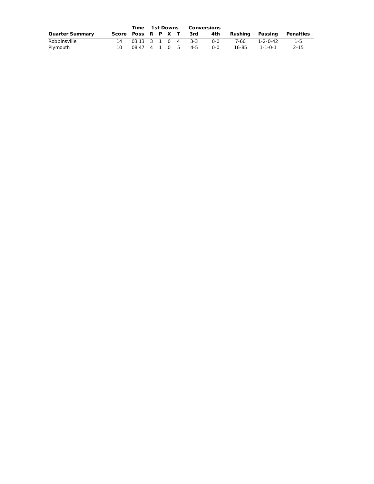|                        | Time 1st Downs |  | Conversions |  |                        |         |                 |          |           |
|------------------------|----------------|--|-------------|--|------------------------|---------|-----------------|----------|-----------|
| <b>Quarter Summary</b> |                |  |             |  | Score Poss R P X T 3rd | 4th     | Rushina Passina |          | Penalties |
| Robbinsville           |                |  |             |  | 14 03:13 3 1 0 4 3-3   | ი-ი     | 7-66            | 1-2-0-42 | $1-5$     |
| Plymouth               |                |  |             |  | 08:47 4 1 0 5 4-5      | $0 - 0$ | 16-85           | 1-1-0-1  | 2-15      |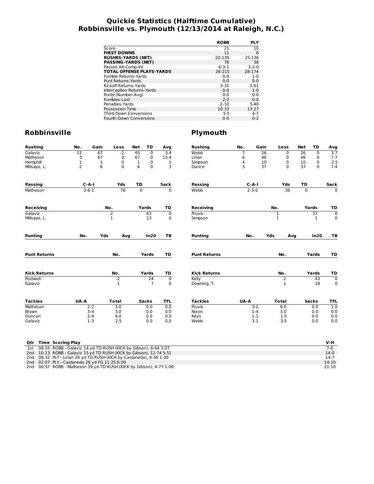## **Quickie Statistics (Halftime Cumulative) Robbinsville vs. Plymouth (12/13/2014 at Raleigh, N.C.)**

|                                  | <b>ROBB</b> | <b>PLY</b>  |
|----------------------------------|-------------|-------------|
| Score                            | 21          | 10          |
| <b>FIRST DOWNS</b>               | 11          | 8           |
| <b>RUSHES-YARDS (NET)</b>        | 20-139      | 25-136      |
| <b>PASSING-YARDS (NET)</b>       | 76          | 38          |
| Passes Att-Comp-Int              | $6 - 3 - 1$ | $3 - 2 - 0$ |
| <b>TOTAL OFFENSE PLAYS-YARDS</b> | 26-215      | 28-174      |
| Fumble Returns-Yards             | $0 - 0$     | $1 - 0$     |
| Punt Returns-Yards               | $0 - 0$     | $0 - 0$     |
| Kickoff Returns-Yards            | 3-31        | $3 - 61$    |
| Interception Returns-Yards       | $0 - 0$     | $1 - 0$     |
| Punts (Number-Avg)               | $0 - 0$     | $0 - 0$     |
| Fumbles-Lost                     | $2 - 2$     | $0 - 0$     |
| Penalties-Yards                  | $2 - 10$    | $5 - 40$    |
| Possession Time                  | 10:33       | 13:27       |
| <b>Third-Down Conversions</b>    | $5 - 5$     | $4 - 7$     |
| Fourth-Down Conversions          | $0 - 0$     | $0 - 2$     |

## **Robbinsville Plymouth**

| <b>Rushing</b>                                                        | No.             | Gain        | Loss             | <b>Net</b>   | TD             | Avg            | <b>Rushing</b>      | No.  | Gain        | Loss           | <b>Net</b>  | <b>TD</b>       | Avg              |
|-----------------------------------------------------------------------|-----------------|-------------|------------------|--------------|----------------|----------------|---------------------|------|-------------|----------------|-------------|-----------------|------------------|
| Galaviz                                                               | $\overline{12}$ | 67          | $-2$             | 65           | $\overline{0}$ | 5.4            | Webb                | 7    | 26          | $\mathbf 0$    | 26          | $\Omega$        | $\overline{3.7}$ |
| Matheson                                                              | 5               | 67          | 0                | 67           | $\pmb{0}$      | 13.4           | Lirian              | 6    | 46          | 0              | 46          | 0               | 7.7              |
| Hemphill                                                              | $\mathbf{1}$    | $\mathbf 1$ | 0                | $\mathbf{1}$ | 0              | 1              | Simpson             | 4    | 10          | 0              | 10          | $\mathbf 0$     | 2.5              |
| Millsaps, L.                                                          | 2               | 6           | $\Omega$         | 6            | 0              | 3              | Dance               | 5    | 37          | 0              | 37          | $\Omega$        | 7.4              |
| <b>Passing</b>                                                        |                 | $C-A-I$     | Yds              | TD           |                | Sack           | <b>Passing</b>      |      | $C - A - I$ | Yds            | TD          |                 | Sack             |
| Matheson                                                              |                 | $3-6-1$     | 76               | $\mathbf 0$  |                | $\Omega$       | Webb                |      | $2 - 3 - 0$ | 38             | $\mathbf 0$ |                 | $\Omega$         |
| <b>Receiving</b>                                                      |                 |             | No.              |              | Yards          | TD             | <b>Receiving</b>    |      |             | No.            |             | Yards           | TD               |
| Galaviz                                                               |                 |             | 2                |              | 63             | $\mathbf 0$    | Pruvis              |      |             | $\mathbf 1$    |             | $\overline{37}$ | $\overline{0}$   |
| Millsaps, L.                                                          |                 |             | $\mathbf{1}$     |              | 13             | 0              | Simpson             |      |             | $\mathbf 1$    |             | $\mathbf{1}$    | 0                |
| <b>Punting</b>                                                        | No.             | Yds         | Avg              |              | In20           | TB             | <b>Punting</b>      | No.  |             | Yds<br>Avg     |             | In20            | ТB               |
| <b>Punt Returns</b>                                                   |                 |             | No.              |              | Yards          | TD             | <b>Punt Returns</b> |      |             | No.            |             | Yards           | TD               |
| <b>Kick Returns</b>                                                   |                 |             | No.              |              | Yards          | TD             | <b>Kick Returns</b> |      |             | No.            |             | Yards           | TD               |
| Postwell                                                              |                 |             | $\overline{2}$   |              | 24             | $\overline{0}$ | Kelly               |      |             | $\overline{2}$ |             | 43              | $\overline{0}$   |
| Galaviz                                                               |                 |             | $\mathbf{1}$     |              | $\overline{7}$ | $\mathbf 0$    | Downing, T.         |      |             | $\mathbf{1}$   |             | 18              | $\mathbf 0$      |
| <b>Tackles</b>                                                        | UA-A            |             | <b>Total</b>     |              | <b>Sacks</b>   | <b>TFL</b>     | <b>Tackles</b>      | UA-A |             | <b>Total</b>   |             | <b>Sacks</b>    | <b>TFL</b>       |
| Matheson                                                              |                 | $2 - 2$     | $\overline{3.0}$ |              | 0.0            | 0.0            | Pruvis              |      | $5 - 2$     | 6.0            |             | 0.0             | 1.0              |
| Brown                                                                 |                 | $3 - 4$     | 5.0              |              | 0.0            | 0.0            | Nixon               |      | $1 - 4$     | 3.0            |             | 0.0             | 0.0              |
| Duncan                                                                |                 | $2 - 4$     | 4.0              |              | 0.0            | 0.0            | Keys                |      | $1 - 1$     | 1.5            |             | 0.0             | 0.0              |
| Galaviz                                                               |                 | $1-3$       | 2.5              |              | 0.0            | 0.0            | Webb                |      | $3-1$       | 3.5            |             | 0.0             | 0.0              |
|                                                                       |                 |             |                  |              |                |                |                     |      |             |                |             |                 |                  |
| <b>Time Scoring Play</b><br>Qtr                                       |                 |             |                  |              |                |                |                     |      |             |                |             |                 | V-H              |
| 08:53 ROBB - Galaviz 14 yd TD RUSH (KICK by Gibson), 8-64 3:07<br>1st |                 |             |                  |              |                |                |                     |      |             |                |             |                 | $7 - 0$          |

|  | 1st 08:53 ROBB - Galaviz 14 yd TD RUSH (KICK by Gibson), 8-64 3:07  |  |
|--|---------------------------------------------------------------------|--|
|  | 2nd 10:13 ROBB - Galaviz 15 vd TD RUSH (KICK by Gibson), 12-74 5:51 |  |

2nd 10:13 ROBB - Galaviz 15 yd TD RUSH (KICK by Gibson), 12-74 5:51<br>2nd 08:32 PLY - Lirian 26 yd TD RUSH (KICK by Castaneda), 4-36 1:30<br>2nd 02:07 PLY - Castaneda 26 yd FG 11-25 6:09<br>2nd 00:57 ROBB - Matheson 39 yd TD RUSH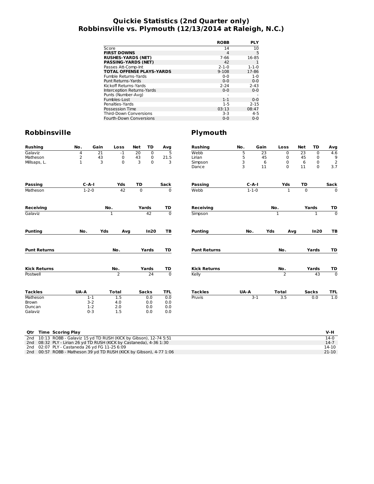## **Quickie Statistics (2nd Quarter only) Robbinsville vs. Plymouth (12/13/2014 at Raleigh, N.C.)**

|                                  | <b>ROBB</b>    | <b>PLY</b>  |
|----------------------------------|----------------|-------------|
| Score                            | 14             | 10          |
| <b>FIRST DOWNS</b>               | $\overline{4}$ | 5           |
| <b>RUSHES-YARDS (NET)</b>        | 7-66           | 16-85       |
| <b>PASSING-YARDS (NET)</b>       | 42             |             |
| Passes Att-Comp-Int              | $2 - 1 - 0$    | $1 - 1 - 0$ |
| <b>TOTAL OFFENSE PLAYS-YARDS</b> | $9 - 108$      | 17-86       |
| Fumble Returns-Yards             | $0 - 0$        | $1 - 0$     |
| <b>Punt Returns-Yards</b>        | $0 - 0$        | $0 - 0$     |
| Kickoff Returns-Yards            | $2 - 24$       | $2 - 43$    |
| Interception Returns-Yards       | $0 - 0$        | $0 - 0$     |
| Punts (Number-Avg)               |                |             |
| Fumbles-Lost                     | $1 - 1$        | $0 - 0$     |
| Penalties-Yards                  | $1 - 5$        | $2 - 15$    |
| Possession Time                  | 03:13          | 08:47       |
| <b>Third-Down Conversions</b>    | $3-3$          | $4 - 5$     |
| Fourth-Down Conversions          | $0 - 0$        | 0-0         |

| <b>Rushing</b>      | No.         | Gain | Loss           | <b>Net</b>                             | TD              | Avg            | <b>Rushing</b>      | No.  | Gain            | Loss           | Net             | TD             | Avg            |
|---------------------|-------------|------|----------------|----------------------------------------|-----------------|----------------|---------------------|------|-----------------|----------------|-----------------|----------------|----------------|
| Galaviz             | 4           | 21   | $-1$           | $\overline{20}$                        | $\mathbf 0$     | $\overline{5}$ | Webb                | 5    | $\overline{23}$ | 0              | $\overline{23}$ | 0              | 4.6            |
| Matheson            | 2           | 43   | 0              | $\begin{array}{c} 43 \\ 3 \end{array}$ | 0               | 21.5           | Lirian              | 5    | 45              | 0              | 45              | 0              | $\frac{9}{2}$  |
| Millsaps, L.        | 1           | 3    | $\Omega$       |                                        | $\mathbf 0$     | 3              | Simpson             | 3    | 6               | $\mathbf 0$    | 6               | $\mathbf 0$    |                |
|                     |             |      |                |                                        |                 |                | Dance               | 3    | 11              | $\mathbf 0$    | 11              | $\mathbf 0$    | 3.7            |
| <b>Passing</b>      | $C-A-I$     |      | Yds            | TD                                     |                 | Sack           | <b>Passing</b>      |      | $C - A - I$     | Yds            | TD              |                | Sack           |
| Matheson            | $1 - 2 - 0$ |      | 42             | $\overline{0}$                         |                 | $\mathbf 0$    | Webb                |      | $1 - 1 - 0$     | $\mathbf{1}$   | $\mathbf 0$     |                | $\overline{0}$ |
| <b>Receiving</b>    |             | No.  |                |                                        | Yards           | TD             | Receiving           |      |                 | No.            |                 | Yards          | TD             |
| Galaviz             |             |      | $\overline{1}$ |                                        | 42              | $\overline{0}$ | Simpson             |      |                 | $\overline{1}$ |                 | $\overline{1}$ | $\overline{0}$ |
| <b>Punting</b>      | No.         | Yds  | Avg            |                                        | In20            | TB             | <b>Punting</b>      | No.  | Yds             | Avg            |                 | In20           | ТB             |
| <b>Punt Returns</b> |             |      | No.            |                                        | Yards           | TD             | <b>Punt Returns</b> |      |                 | No.            |                 | Yards          | TD             |
| <b>Kick Returns</b> |             |      | No.            |                                        | Yards<br>TD     |                | <b>Kick Returns</b> |      |                 | No.            |                 | Yards          | TD             |
| Postwell            |             |      | $\overline{2}$ |                                        | $\overline{24}$ | $\overline{0}$ | Kelly               |      |                 | $\overline{2}$ |                 | 43             | $\overline{0}$ |
| <b>Tackles</b>      | UA-A        |      | <b>Total</b>   |                                        | <b>Sacks</b>    | <b>TFL</b>     | <b>Tackles</b>      | UA-A |                 | <b>Total</b>   |                 | <b>Sacks</b>   | <b>TFL</b>     |
| Matheson            | $1 - 1$     |      | 1.5            |                                        | 0.0             | 0.0            | Pruvis              |      | $3-1$           | 3.5            |                 | 0.0            | 1.0            |
| <b>Brown</b>        | $3 - 2$     |      | 4.0            |                                        | 0.0             | 0.0            |                     |      |                 |                |                 |                |                |
| Duncan              | $1 - 2$     |      | 2.0            |                                        | 0.0             | 0.0            |                     |      |                 |                |                 |                |                |
| Galaviz             | $0 - 3$     |      | 1.5            |                                        | 0.0             | 0.0            |                     |      |                 |                |                 |                |                |

|  | Otr Time Scoring Play                                               | V-H    |
|--|---------------------------------------------------------------------|--------|
|  | 2nd 10:13 ROBB - Galaviz 15 yd TD RUSH (KICK by Gibson), 12-74 5:51 | $14-0$ |
|  | 2nd 08:32 PLY - Lirian 26 yd TD RUSH (KICK by Castaneda), 4-36 1:30 | $14-7$ |
|  | 2nd 02:07 PLY - Castaneda 26 yd FG 11-25 6:09                       | 14-10  |
|  | 2nd 00:57 ROBB - Matheson 39 yd TD RUSH (KICK by Gibson), 4-77 1:06 | 21-10  |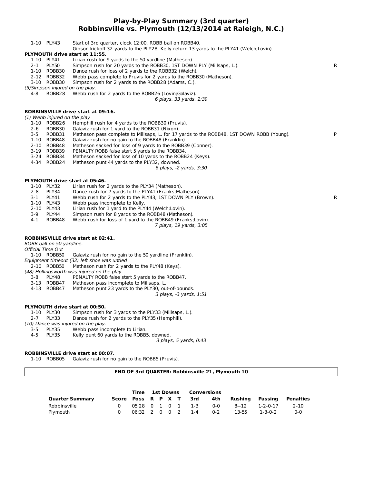#### **Play-by-Play Summary (3rd quarter) Robbinsville vs. Plymouth (12/13/2014 at Raleigh, N.C.)**

|         | 1-10 PLY43                   | Start of 3rd quarter, clock 12:00, ROBB ball on ROBB40.<br>Gibson kickoff 32 yards to the PLY28, Kelly return 13 yards to the PLY41 (Welch;Lovin). |   |
|---------|------------------------------|----------------------------------------------------------------------------------------------------------------------------------------------------|---|
|         |                              | PLYMOUTH drive start at 11:55.                                                                                                                     |   |
|         | 1-10 PLY41                   | Lirian rush for 9 yards to the 50 yardline (Matheson).                                                                                             |   |
| $2 - 1$ | PLY50                        | Simpson rush for 20 yards to the ROBB30, 1ST DOWN PLY (Millsaps, L.).                                                                              | R |
|         | 1-10 ROBB30                  | Dance rush for loss of 2 yards to the ROBB32 (Welch).                                                                                              |   |
|         | 2-12 ROBB32                  | Webb pass complete to Pruvis for 2 yards to the ROBB30 (Matheson).                                                                                 |   |
|         | 3-10 ROBB30                  | Simpson rush for 2 yards to the ROBB28 (Adams, C.).                                                                                                |   |
|         |                              | (5) Simpson injured on the play.                                                                                                                   |   |
| 4-8     | ROBB28                       | Webb rush for 2 yards to the ROBB26 (Lovin; Galaviz).                                                                                              |   |
|         |                              |                                                                                                                                                    |   |
|         |                              | 6 plays, 33 yards, 2:39                                                                                                                            |   |
|         |                              | ROBBINSVILLE drive start at 09:16.                                                                                                                 |   |
|         | (1) Webb injured on the play |                                                                                                                                                    |   |
|         | 1-10 ROBB26                  | Hemphill rush for 4 yards to the ROBB30 (Pruvis).                                                                                                  |   |
| $2 - 6$ | ROBB30                       | Galaviz rush for 1 yard to the ROBB31 (Nixon).                                                                                                     |   |
|         |                              |                                                                                                                                                    | P |
| $3 - 5$ | ROBB31                       | Matheson pass complete to Millsaps, L. for 17 yards to the ROBB48, 1ST DOWN ROBB (Young).                                                          |   |
|         | 1-10 ROBB48                  | Galaviz rush for no gain to the ROBB48 (Franklin).                                                                                                 |   |
|         | 2-10 ROBB48                  | Matheson sacked for loss of 9 yards to the ROBB39 (Conner).                                                                                        |   |
|         | 3-19 ROBB39                  | PENALTY ROBB false start 5 yards to the ROBB34.                                                                                                    |   |
|         | 3-24 ROBB34                  | Matheson sacked for loss of 10 yards to the ROBB24 (Keys).                                                                                         |   |
|         | 4-34 ROBB24                  | Matheson punt 44 yards to the PLY32, downed.                                                                                                       |   |
|         |                              | 6 plays, -2 yards, 3:30                                                                                                                            |   |
|         |                              |                                                                                                                                                    |   |
|         |                              | PLYMOUTH drive start at 05:46.                                                                                                                     |   |
|         | 1-10 PLY32                   | Lirian rush for 2 yards to the PLY34 (Matheson).                                                                                                   |   |
| $2 - 8$ | PLY34                        | Dance rush for 7 yards to the PLY41 (Franks; Matheson).                                                                                            |   |
| $3-1$   | PLY41                        | Webb rush for 2 yards to the PLY43, 1ST DOWN PLY (Brown).                                                                                          | R |
|         | 1-10 PLY43                   | Webb pass incomplete to Kelly.                                                                                                                     |   |
|         | 2-10 PLY43                   | Lirian rush for 1 yard to the PLY44 (Welch; Lovin).                                                                                                |   |
| 3-9     | PLY44                        | Simpson rush for 8 yards to the ROBB48 (Matheson).                                                                                                 |   |
| $4 - 1$ | ROBB48                       | Webb rush for loss of 1 yard to the ROBB49 (Franks; Lovin).                                                                                        |   |
|         |                              | 7 plays, 19 yards, 3:05                                                                                                                            |   |
|         |                              |                                                                                                                                                    |   |
|         |                              | <b>ROBBINSVILLE drive start at 02:41.</b>                                                                                                          |   |
|         | ROBB ball on 50 yardline.    |                                                                                                                                                    |   |
|         | <b>Official Time Out</b>     |                                                                                                                                                    |   |
|         | 1-10 ROBB50                  | Galaviz rush for no gain to the 50 yardline (Franklin).                                                                                            |   |
|         |                              | Equipment timeout (32) left shoe was untied                                                                                                        |   |
|         | 2-10 ROBB50                  | Matheson rush for 2 yards to the PLY48 (Keys).                                                                                                     |   |
|         |                              | (48) Hollingsworth was injured on the play.                                                                                                        |   |
| 3-8     | PLY48                        | PENALTY ROBB false start 5 yards to the ROBB47.                                                                                                    |   |
|         | 3-13 ROBB47                  | Matheson pass incomplete to Millsaps, L.                                                                                                           |   |
|         | 4-13 ROBB47                  | Matheson punt 23 yards to the PLY30, out-of-bounds.                                                                                                |   |
|         |                              | 3 plays, -3 yards, 1:51                                                                                                                            |   |
|         |                              |                                                                                                                                                    |   |
|         |                              | PLYMOUTH drive start at 00:50.                                                                                                                     |   |
|         | 1-10 PLY30                   | Simpson rush for 3 yards to the PLY33 (Millsaps, L.).                                                                                              |   |
| $2 - 7$ | PLY33                        | Dance rush for 2 yards to the PLY35 (Hemphill).                                                                                                    |   |
|         |                              | (10) Dance was injured on the play.                                                                                                                |   |
| $3 - 5$ | PLY35                        | Webb pass incomplete to Lirian.                                                                                                                    |   |

4-5 PLY35 Kelly punt 60 yards to the ROBB5, downed.

3 plays, 5 yards, 0:43

#### **ROBBINSVILLE drive start at 00:07.**

1-10 ROBB05 Galaviz rush for no gain to the ROBB5 (Pruvis).

#### **END OF 3rd QUARTER: Robbinsville 21, Plymouth 10**

|                        |                        | Time              | <b>1st Downs</b> |  | Conversions |                   |            |         |                 |           |
|------------------------|------------------------|-------------------|------------------|--|-------------|-------------------|------------|---------|-----------------|-----------|
| <b>Quarter Summary</b> | Score Poss R P X T 3rd |                   |                  |  |             |                   | 4th        | Rushina | Passing         | Penalties |
| Robbinsville           |                        |                   |                  |  |             | 05:28 0 1 0 1 1-3 | <u>ດ-ດ</u> |         | 8--12 1-2-0-17  | 2-10      |
| Plymouth               |                        | 06:32 2 0 0 2 1-4 |                  |  |             |                   | $0 - 2$    | 13-55   | $1 - 3 - 0 - 2$ | 0-0       |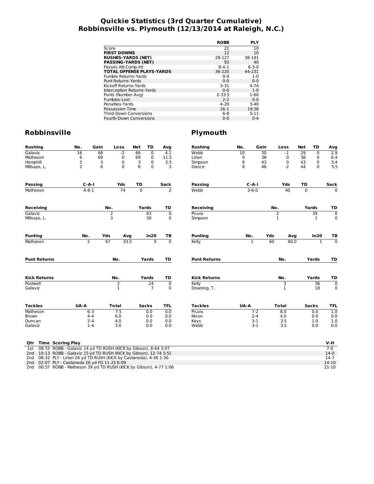## **Quickie Statistics (3rd Quarter Cumulative) Robbinsville vs. Plymouth (12/13/2014 at Raleigh, N.C.)**

|                                  | <b>ROBB</b> | <b>PLY</b>  |
|----------------------------------|-------------|-------------|
| Score                            | 21          | 10          |
| <b>FIRST DOWNS</b>               | 12          | 10          |
| <b>RUSHES-YARDS (NET)</b>        | 28-127      | 38-191      |
| <b>PASSING-YARDS (NET)</b>       | 93          | 40          |
| Passes Att-Comp-Int              | $8 - 4 - 1$ | $6 - 3 - 0$ |
| <b>TOTAL OFFENSE PLAYS-YARDS</b> | 36-220      | 44-231      |
| Fumble Returns-Yards             | $0 - 0$     | $1 - 0$     |
| <b>Punt Returns-Yards</b>        | $0 - 0$     | $0 - 0$     |
| Kickoff Returns-Yards            | $3 - 31$    | $4 - 74$    |
| Interception Returns-Yards       | $0 - 0$     | $1 - 0$     |
| Punts (Number-Avg)               | $2 - 33.5$  | $1 - 60$    |
| Fumbles-Lost                     | $2 - 2$     | $0 - 0$     |
| Penalties-Yards                  | $4 - 20$    | $5 - 40$    |
| Possession Time                  | 16:1        | 19:59       |
| <b>Third-Down Conversions</b>    | $6 - 8$     | $5 - 11$    |
| Fourth-Down Conversions          | $0 - 0$     | $0 - 4$     |

| <b>Rushing</b>                                                         | No.  | Gain           | Loss              |      | Net         | TD                   | Avg                        | <b>Rushing</b>       | No.  | Gain         |                  | Loss              | Net         | TD           | Avg              |
|------------------------------------------------------------------------|------|----------------|-------------------|------|-------------|----------------------|----------------------------|----------------------|------|--------------|------------------|-------------------|-------------|--------------|------------------|
| Galaviz                                                                | 16   | 68             | $-2$              |      | 66          | $\overline{0}$       | 4.1                        | Webb                 | 10   | 30           |                  | $-1$              | 29          | $\mathbf 0$  | 2.9              |
| Matheson                                                               | 6    | 69             | 0                 |      | 69          | $\mathbf 0$          | 11.5                       | Lirian               | 9    | 58           |                  | 0                 | 58          | 0            | 6.4              |
| Hemphill                                                               | 2    | 5              | 0                 |      | 5           | $\mathbf 0$          | 2.5                        | Simpson              | 8    | 43           |                  | 0                 | 43          | 0            | 5.4              |
| Millsaps, L.                                                           | 2    | 6              | 0                 |      | 6           | $\mathbf 0$          | 3                          | Dance                | 8    | 46           |                  | $-2$              | 44          | 0            | 5.5              |
| <b>Passing</b>                                                         |      | $C-A-I$        | Yds               |      | TD          |                      | Sack                       | Passing              |      | $C-A-I$      |                  | Yds               | TD          |              | Sack             |
| Matheson                                                               |      | $4 - 8 - 1$    | 74                |      | $\mathbf 0$ |                      | 2                          | Webb                 |      | $3 - 6 - 0$  |                  | 40                | $\mathbf 0$ |              | 0                |
|                                                                        |      |                | No.               |      | Yards       |                      | TD                         |                      |      |              |                  |                   |             | Yards        |                  |
| <b>Receiving</b>                                                       |      |                |                   |      |             |                      |                            | Receiving            |      |              | No.              |                   |             |              | TD               |
| Galaviz<br>Millsaps, L.                                                |      |                | 2<br>3            |      |             | 63<br>30             | $\mathbf 0$<br>0           | Pruvis<br>Simpson    |      |              | 2<br>$\mathbf 1$ |                   |             | 39<br>1      | $\mathbf 0$<br>0 |
| <b>Punting</b>                                                         | No.  |                | Yds               | Avg  |             | In20                 | ΤВ                         | <b>Punting</b>       | No.  |              | Yds              | Avg               |             | In20         | TВ               |
| Matheson                                                               |      | $\overline{2}$ | 67                | 33.5 |             | $\overline{0}$       | $\overline{0}$             | Kelly                |      | $\mathbf{1}$ | 60               | 60.0              |             | $\mathbf{1}$ | $\overline{0}$   |
| <b>Punt Returns</b>                                                    |      |                | No.               |      |             | Yards                | TD                         | <b>Punt Returns</b>  |      |              |                  | No.               |             | Yards        | TD               |
|                                                                        |      |                |                   |      |             |                      |                            |                      |      |              |                  |                   |             |              |                  |
| <b>Kick Returns</b>                                                    |      |                | No.               |      |             | Yards                | TD                         | <b>Kick Returns</b>  |      |              |                  | No.               |             | Yards        | TD               |
| Postwell<br>Galaviz                                                    |      |                | 2<br>$\mathbf{1}$ |      |             | 24<br>$\overline{7}$ | $\mathbf 0$<br>$\mathbf 0$ | Kelly<br>Downing, T. |      |              |                  | 3<br>$\mathbf{1}$ |             | 56<br>18     | $\mathbf 0$<br>0 |
| <b>Tackles</b>                                                         | UA-A |                | <b>Total</b>      |      |             | <b>Sacks</b>         | <b>TFL</b>                 | Tackles              | UA-A |              |                  | <b>Total</b>      |             | <b>Sacks</b> | <b>TFL</b>       |
| Matheson                                                               |      | $6 - 3$        | 7.5               |      |             | 0.0                  | 0.0                        | Pruvis               |      | $7 - 2$      |                  | 8.0               |             | 0.0          | 1.0              |
| <b>Brown</b>                                                           |      | $4 - 4$        | 6.0               |      |             | 0.0                  | 0.0                        | Nixon                |      | $2 - 4$      |                  | 4.0               |             | 0.0          | 0.0              |
| Duncan                                                                 |      | $2 - 4$        | 4.0               |      |             | 0.0                  | 0.0                        | Keys                 |      | $3 - 1$      |                  | 3.5               |             | 1.0          | 1.0              |
| Galaviz                                                                |      | $1 - 4$        | 3.0               |      |             | 0.0                  | 0.0                        | Webb                 |      | $3 - 1$      |                  | 3.5               |             | 0.0          | 0.0              |
| <b>Time Scoring Play</b><br>Qtr                                        |      |                |                   |      |             |                      |                            |                      |      |              |                  |                   |             |              | V-H              |
| 08:53 ROBB - Galaviz 14 yd TD RUSH (KICK by Gibson), 8-64 3:07<br>1st  |      |                |                   |      |             |                      |                            |                      |      |              |                  |                   |             |              | $7-0$            |
| 10:13 ROBB - Galaviz 15 yd TD RUSH (KICK by Gibson), 12-74 5:51<br>2nd |      |                |                   |      |             |                      |                            |                      |      |              |                  |                   |             |              | $14-0$           |
| 08:32 PLY - Lirian 26 yd TD RUSH (KICK by Castaneda), 4-36 1:30<br>2nd |      |                |                   |      |             |                      |                            |                      |      |              |                  |                   |             |              | $14-7$           |
| 02:07 PLY - Castaneda 26 yd FG 11-25 6:09<br>2nd                       |      |                |                   |      |             |                      |                            |                      |      |              |                  |                   |             |              | $14-10$          |
| 00:57 ROBB - Matheson 39 yd TD RUSH (KICK by Gibson), 4-77 1:06<br>2nd |      |                |                   |      |             |                      |                            |                      |      |              |                  |                   |             |              | $21-10$          |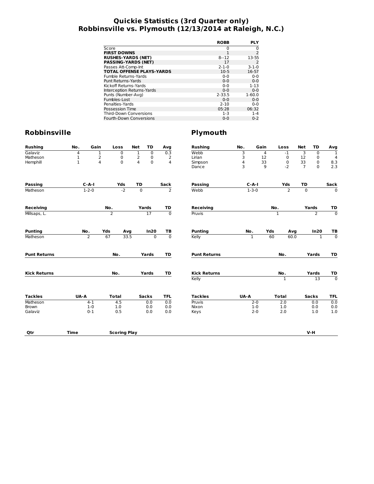## **Quickie Statistics (3rd Quarter only) Robbinsville vs. Plymouth (12/13/2014 at Raleigh, N.C.)**

|                                  | <b>ROBB</b> | <b>PLY</b>     |
|----------------------------------|-------------|----------------|
| Score                            | 0           | 0              |
| <b>FIRST DOWNS</b>               |             | $\overline{2}$ |
| <b>RUSHES-YARDS (NET)</b>        | $8 - 12$    | 13-55          |
| <b>PASSING-YARDS (NET)</b>       | 17          | 2              |
| Passes Att-Comp-Int              | $2 - 1 - 0$ | $3 - 1 - 0$    |
| <b>TOTAL OFFENSE PLAYS-YARDS</b> | $10-5$      | 16-57          |
| Fumble Returns-Yards             | $0 - 0$     | $0 - 0$        |
| Punt Returns-Yards               | $0 - 0$     | $0 - 0$        |
| Kickoff Returns-Yards            | $0 - 0$     | $1 - 13$       |
| Interception Returns-Yards       | $0 - 0$     | $0 - 0$        |
| Punts (Number-Avg)               | $2 - 33.5$  | $1 - 60.0$     |
| Fumbles-Lost                     | $0 - 0$     | $0 - 0$        |
| Penalties-Yards                  | $2 - 10$    | $0 - 0$        |
| Possession Time                  | 05:28       | 06:32          |
| <b>Third-Down Conversions</b>    | $1 - 3$     | $1 - 4$        |
| Fourth-Down Conversions          | $0 - 0$     | $0 - 2$        |

| <b>Rushing</b>      | No.         | Gain           | Loss                | <b>Net</b><br>TD                 | Avg                           | <b>Rushing</b>      | No.          | Gain | Loss           | TD<br>Net                  | Avg                            |
|---------------------|-------------|----------------|---------------------|----------------------------------|-------------------------------|---------------------|--------------|------|----------------|----------------------------|--------------------------------|
| Galaviz             | 4           | 1              | $\overline{0}$      | $\overline{1}$<br>$\overline{0}$ | 0.3                           | Webb                | 3            | 4    | $-1$           | З<br>$\mathbf 0$           | T                              |
| Matheson            | 1           | 2              | 0                   | 2<br>0                           | $\overline{2}$                | Lirian              | 3            | 12   | $\pmb{0}$      | 12<br>0                    | 4                              |
| Hemphill            | 1           | $\overline{4}$ | $\mathbf 0$         | 4<br>$\mathbf 0$                 | $\overline{4}$                | Simpson             | 4            | 33   | $\pmb{0}$      | 33<br>0                    | $\frac{8.3}{2.3}$              |
|                     |             |                |                     |                                  |                               | Dance               | 3            | 9    | $-2$           | $\overline{7}$<br>$\Omega$ |                                |
| <b>Passing</b>      |             | $C-A-I$        | Yds                 | TD                               | Sack                          | <b>Passing</b>      | $C-A-I$      |      | Yds            | TD                         | Sack                           |
| Matheson            |             | $1 - 2 - 0$    | $-2$                | $\overline{0}$                   | $\overline{2}$                | Webb                | $1 - 3 - 0$  |      | $\overline{2}$ | $\mathbf 0$                | $\overline{0}$                 |
| <b>Receiving</b>    |             |                | No.                 | Yards                            | TD                            | Receiving           |              | No.  |                | Yards                      | TD                             |
| Millsaps, L.        |             |                | $\overline{2}$      | 17                               | $\overline{0}$                | Pruvis              |              | 1    |                | $\overline{2}$             | $\overline{0}$                 |
| <b>Punting</b>      | No.         |                | Yds<br>Avg          | In20                             | TB                            | <b>Punting</b>      | No.          | Yds  | Avg            | In20                       | TB                             |
| Matheson            |             | $\overline{2}$ | 67<br>33.5          |                                  | $\overline{0}$<br>$\mathbf 0$ | Kelly               | $\mathbf{1}$ | 60   | 60.0           |                            | $\overline{0}$<br>$\mathbf{1}$ |
| <b>Punt Returns</b> |             |                | No.                 | Yards                            | TD                            | <b>Punt Returns</b> |              |      | No.            | Yards                      | TD                             |
| <b>Kick Returns</b> |             |                | No.                 | Yards                            | TD                            | <b>Kick Returns</b> |              |      | No.            | Yards                      | TD                             |
|                     |             |                |                     |                                  |                               | Kelly               |              |      | $\mathbf{1}$   | $\overline{13}$            | $\overline{0}$                 |
| <b>Tackles</b>      | <b>UA-A</b> |                | <b>Total</b>        | <b>Sacks</b>                     | <b>TFL</b>                    | <b>Tackles</b>      | UA-A         |      | <b>Total</b>   | <b>Sacks</b>               | <b>TFL</b>                     |
| Matheson            |             | $4 - 1$        | 4.5                 | 0.0                              | 0.0                           | Pruvis              | $2 - 0$      |      | 2.0            | 0.0                        | 0.0                            |
| Brown               |             | $1-0$          | 1.0                 | 0.0                              | 0.0                           | Nixon               | $1 - 0$      |      | 1.0            | 0.0                        | 0.0                            |
| Galaviz             |             | $0 - 1$        | 0.5                 | 0.0                              | 0.0                           | Keys                | $2 - 0$      |      | 2.0            | 1.0                        | 1.0                            |
| Qtr                 | <b>Time</b> |                | <b>Scoring Play</b> |                                  |                               |                     |              |      |                | $V-H$                      |                                |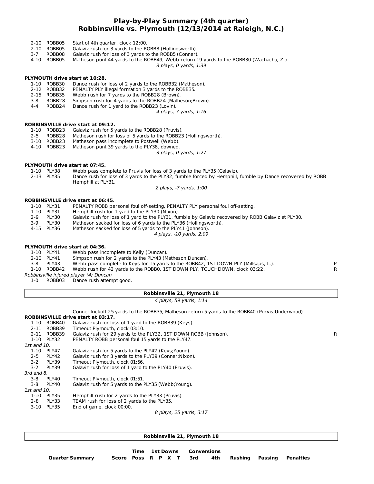#### **Play-by-Play Summary (4th quarter) Robbinsville vs. Plymouth (12/13/2014 at Raleigh, N.C.)**

- 2-10 ROBB05 Start of 4th quarter, clock 12:00.
- 2-10 ROBB05 Galaviz rush for 3 yards to the ROBB8 (Hollingsworth).
- 3-7 ROBB08 Galaviz rush for loss of 3 yards to the ROBB5 (Conner).
- Matheson punt 44 yards to the ROBB49, Webb return 19 yards to the ROBB30 (Wachacha, Z.).

3 plays, 0 yards, 1:39

# **PLYMOUTH drive start at 10:28.**

- Dance rush for loss of 2 yards to the ROBB32 (Matheson).
- 2-12 ROBB32 PENALTY PLY illegal formation 3 yards to the ROBB35.
- 2-15 ROBB35 Webb rush for 7 yards to the ROBB28 (Brown).<br>3-8 ROBB28 Simpson rush for 4 yards to the ROBB24 (Mathe
- Simpson rush for 4 yards to the ROBB24 (Matheson;Brown).
- 4-4 ROBB24 Dance rush for 1 yard to the ROBB23 (Lovin).

4 plays, 7 yards, 1:16

#### **ROBBINSVILLE drive start at 09:12.**

- 1-10 ROBB23 Galaviz rush for 5 yards to the ROBB28 (Pruvis).
- 2-5 ROBB28 Matheson rush for loss of 5 yards to the ROBB23 (Hollingsworth).
- 3-10 ROBB23 Matheson pass incomplete to Postwell (Webb).<br>4-10 ROBB23 Matheson punt 39 vards to the PLY38 downed
- Matheson punt 39 yards to the PLY38, downed.

3 plays, 0 yards, 1:27

#### **PLYMOUTH drive start at 07:45.**

- 1-10 PLY38 Webb pass complete to Pruvis for loss of 3 yards to the PLY35 (Galaviz).
- 2-13 PLY35 Dance rush for loss of 3 yards to the PLY32, fumble forced by Hemphill, fumble by Dance recovered by ROBB Hemphill at PLY31.

2 plays, -7 yards, 1:00

#### **ROBBINSVILLE drive start at 06:45.**

- 1-10 PLY31 PENALTY ROBB personal foul off-setting, PENALTY PLY personal foul off-setting.<br>1-10 PLY31 Hemphill rush for 1 yard to the PLY30 (Nixon).
- Hemphill rush for 1 yard to the PLY30 (Nixon).
- 2-9 PLY30 Galaviz rush for loss of 1 yard to the PLY31, fumble by Galaviz recovered by ROBB Galaviz at PLY30.
- 3-9 PLY30 Matheson sacked for loss of 6 yards to the PLY36 (Hollingsworth).<br>4-15 PLY36 Matheson sacked for loss of 5 yards to the PLY41 (Johnson).
	- Matheson sacked for loss of 5 yards to the PLY41 (Johnson).
		- 4 plays, -10 yards, 2:09

#### **PLYMOUTH drive start at 04:36.**

- 1-10 PLY41 Webb pass incomplete to Kelly (Duncan).<br>2-10 PLY41 Simpson rush for 2 yards to the PLY43 (M
- Simpson rush for 2 yards to the PLY43 (Matheson;Duncan).
- 
- 3-8 PLY43 Webb pass complete to Keys for 15 yards to the ROBB42, 1ST DOWN PLY (Millsaps, L.).<br>1-10 ROBB42 Webb rush for 42 yards to the ROBB0, 1ST DOWN PLY, TOUCHDOWN, clock 03:22. Webb rush for 42 yards to the ROBB0, 1ST DOWN PLY, TOUCHDOWN, clock 03:22.

Robbinsville injured player (4) Duncan

1-0 ROBB03 Dance rush attempt good.

#### **Robbinsville 21, Plymouth 18**

#### 4 plays, 59 yards, 1:14

Conner kickoff 25 yards to the ROBB35, Matheson return 5 yards to the ROBB40 (Purvis;Underwood).

#### **ROBBINSVILLE drive start at 03:17.**

| 1-10        | ROBB40      | Galaviz rush for loss of 1 yard to the ROBB39 (Keys).            |    |
|-------------|-------------|------------------------------------------------------------------|----|
|             | 2-11 ROBB39 | Timeout Plymouth, clock 03:10.                                   |    |
|             | 2-11 ROBB39 | Galaviz rush for 29 yards to the PLY32, 1ST DOWN ROBB (Johnson). | R. |
|             | 1-10 PLY32  | PENALTY ROBB personal foul 15 yards to the PLY47.                |    |
| 1st and 10. |             |                                                                  |    |
| 1-10        | PLY47       | Galaviz rush for 5 yards to the PLY42 (Keys; Young).             |    |
| $2 - 5$     | PLY42       | Galaviz rush for 3 yards to the PLY39 (Conner; Nixon).           |    |
| $3-2$       | PLY39       | Timeout Plymouth, clock 01:56.                                   |    |
| $3 - 2$     | PLY39       | Galaviz rush for loss of 1 yard to the PLY40 (Pruvis).           |    |
| 3rd and 8.  |             |                                                                  |    |
| 3-8         | PLY40       | Timeout Plymouth, clock 01:51.                                   |    |
| 3-8         | PLY40       | Galaviz rush for 5 yards to the PLY35 (Webb; Young).             |    |
| 1st and 10. |             |                                                                  |    |
| 1-10        | PLY35       | Hemphill rush for 2 yards to the PLY33 (Pruvis).                 |    |
| 2-8         | PLY33       | TEAM rush for loss of 2 yards to the PLY35.                      |    |
| $3 - 10$    | PLY35       | End of game, clock 00:00.                                        |    |
|             |             | $0 \text{ when } 25 \text{ and } 2.17$                           |    |

8 plays, 25 yards, 3:17

|                 |  | Time 1st Downs Conversions |  |  |                        |  |                               |
|-----------------|--|----------------------------|--|--|------------------------|--|-------------------------------|
| Quarter Summary |  |                            |  |  | Score Poss R P X T 3rd |  | 4th Rushing Passing Penalties |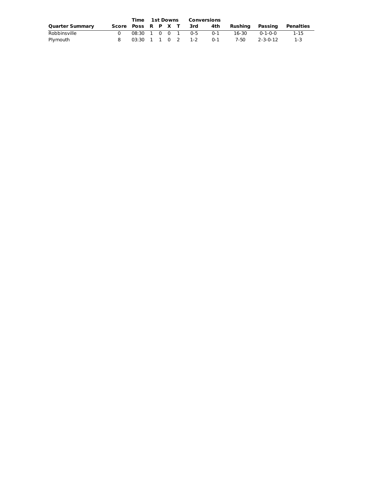|                        |  | Time 1st Downs Conversions |  |  |  |                       |                                            |                 |           |
|------------------------|--|----------------------------|--|--|--|-----------------------|--------------------------------------------|-----------------|-----------|
| <b>Quarter Summary</b> |  |                            |  |  |  |                       | Score Poss R P X T 3rd 4th Rushing Passing |                 | Penalties |
| Robbinsville           |  |                            |  |  |  | 08:30 1 0 0 1 0-5 0-1 | 16-30                                      | $0 - 1 - 0 - 0$ | 1-15      |
| Plymouth               |  |                            |  |  |  | 03:30 1 1 0 2 1-2 0-1 | 7-50                                       | 2-3-0-12        | $-1-3$    |